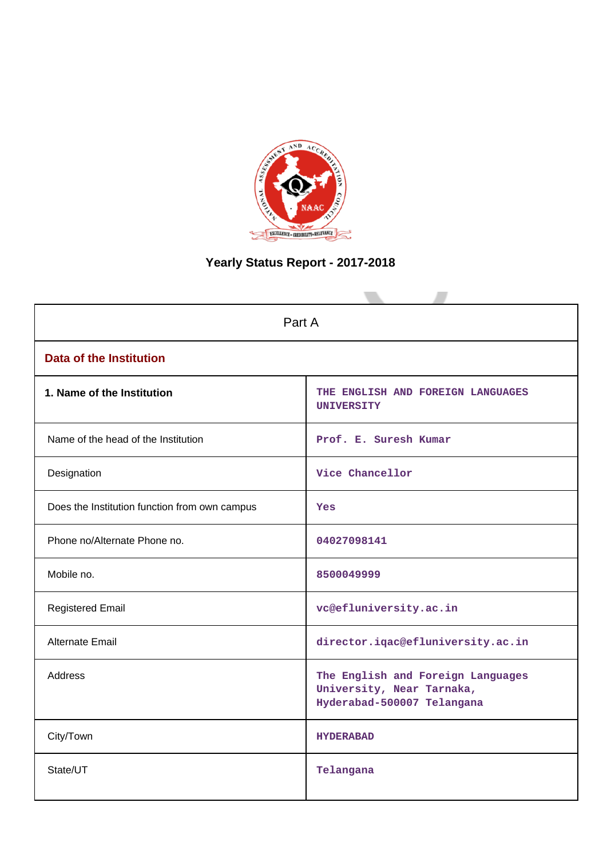

# **Yearly Status Report - 2017-2018**

| Part A                                        |                                                                                              |  |  |  |  |  |
|-----------------------------------------------|----------------------------------------------------------------------------------------------|--|--|--|--|--|
| <b>Data of the Institution</b>                |                                                                                              |  |  |  |  |  |
| 1. Name of the Institution                    | THE ENGLISH AND FOREIGN LANGUAGES<br><b>UNIVERSITY</b>                                       |  |  |  |  |  |
| Name of the head of the Institution           | Prof. E. Suresh Kumar                                                                        |  |  |  |  |  |
| Designation                                   | Vice Chancellor                                                                              |  |  |  |  |  |
| Does the Institution function from own campus | Yes                                                                                          |  |  |  |  |  |
| Phone no/Alternate Phone no.                  | 04027098141                                                                                  |  |  |  |  |  |
| Mobile no.                                    | 8500049999                                                                                   |  |  |  |  |  |
| <b>Registered Email</b>                       | vc@efluniversity.ac.in                                                                       |  |  |  |  |  |
| Alternate Email                               | director.iqac@efluniversity.ac.in                                                            |  |  |  |  |  |
| <b>Address</b>                                | The English and Foreign Languages<br>University, Near Tarnaka,<br>Hyderabad-500007 Telangana |  |  |  |  |  |
| City/Town                                     | <b>HYDERABAD</b>                                                                             |  |  |  |  |  |
| State/UT                                      | Telangana                                                                                    |  |  |  |  |  |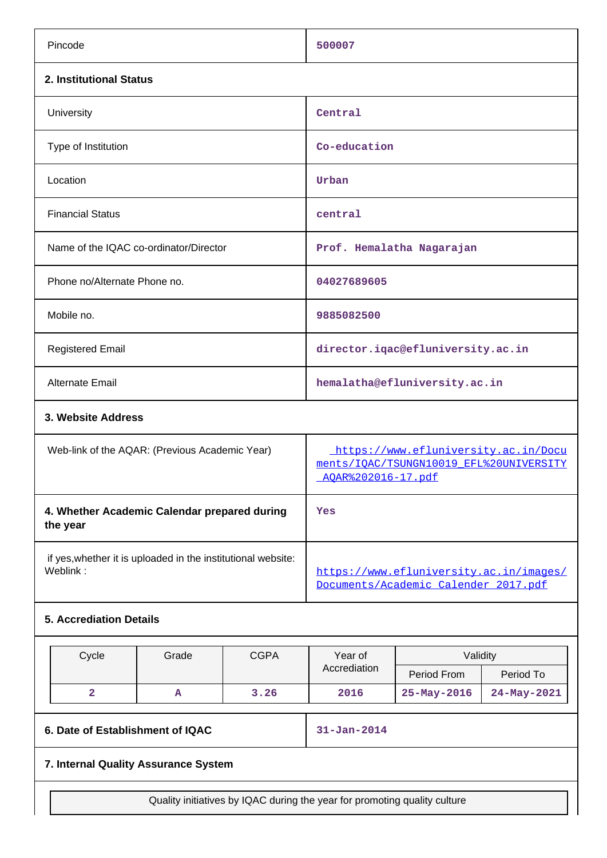| Pincode                                                                  | 500007                                                                                                |
|--------------------------------------------------------------------------|-------------------------------------------------------------------------------------------------------|
| 2. Institutional Status                                                  |                                                                                                       |
| University                                                               | Central                                                                                               |
| Type of Institution                                                      | Co-education                                                                                          |
| Location                                                                 | Urban                                                                                                 |
| <b>Financial Status</b>                                                  | central                                                                                               |
| Name of the IQAC co-ordinator/Director                                   | Prof. Hemalatha Nagarajan                                                                             |
| Phone no/Alternate Phone no.                                             | 04027689605                                                                                           |
| Mobile no.                                                               | 9885082500                                                                                            |
| <b>Registered Email</b>                                                  | director.iqac@efluniversity.ac.in                                                                     |
| <b>Alternate Email</b>                                                   | hemalatha@efluniversity.ac.in                                                                         |
| 3. Website Address                                                       |                                                                                                       |
| Web-link of the AQAR: (Previous Academic Year)                           | https://www.efluniversity.ac.in/Docu<br>ments/IOAC/TSUNGN10019 EFL%20UNIVERSITY<br>AOAR%202016-17.pdf |
| 4. Whether Academic Calendar prepared during<br>the year                 | Yes                                                                                                   |
| if yes, whether it is uploaded in the institutional website:<br>Weblink: | https://www.efluniversity.ac.in/images/<br>Documents/Academic Calender 2017.pdf                       |
| 5 Accrediation Details                                                   |                                                                                                       |

## **5. Accrediation Details**

| Cycle | Grade | <b>CGPA</b> | Year of      | Validity          |                   |  |  |
|-------|-------|-------------|--------------|-------------------|-------------------|--|--|
|       |       |             | Accrediation | Period From       | Period To         |  |  |
|       | A     | 3.26        | 2016         | $25 - May - 2016$ | $24 - May - 2021$ |  |  |

## **6. Date of Establishment of IQAC 31-Jan-2014**

## **7. Internal Quality Assurance System**

Quality initiatives by IQAC during the year for promoting quality culture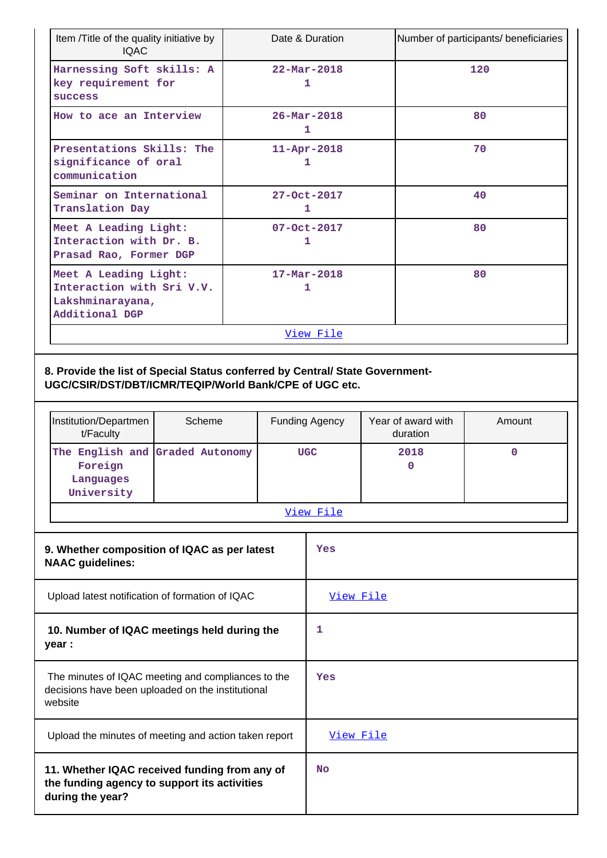| Item /Title of the quality initiative by<br><b>IQAC</b>                                                                                                          |                                                                         |                       | Date & Duration               |                    |           | Number of participants/ beneficiaries |  |
|------------------------------------------------------------------------------------------------------------------------------------------------------------------|-------------------------------------------------------------------------|-----------------------|-------------------------------|--------------------|-----------|---------------------------------------|--|
| Harnessing Soft skills: A<br>key requirement for<br><b>SUCCESS</b>                                                                                               |                                                                         |                       | $22 - \text{Mar} - 2018$<br>1 |                    |           | 120                                   |  |
| How to ace an Interview                                                                                                                                          |                                                                         |                       | $26 - \text{Mar} - 2018$<br>1 |                    |           | 80                                    |  |
| Presentations Skills: The<br>significance of oral<br>communication                                                                                               |                                                                         |                       | $11 - Apr - 2018$<br>1        |                    |           | 70                                    |  |
| Seminar on International<br>Translation Day                                                                                                                      |                                                                         |                       | 27-Oct-2017<br>1              |                    |           | 40                                    |  |
| Meet A Leading Light:<br>Interaction with Dr. B.<br>Prasad Rao, Former DGP                                                                                       |                                                                         |                       | $07 - Oct - 2017$<br>1        |                    |           | 80                                    |  |
| Lakshminarayana,<br>Additional DGP                                                                                                                               | Meet A Leading Light:<br>$17 - Mar - 2018$<br>Interaction with Sri V.V. |                       |                               |                    | 80        |                                       |  |
|                                                                                                                                                                  |                                                                         |                       | View File                     |                    |           |                                       |  |
| 8. Provide the list of Special Status conferred by Central/ State Government-<br>UGC/CSIR/DST/DBT/ICMR/TEQIP/World Bank/CPE of UGC etc.<br>Institution/Departmen | Scheme                                                                  | <b>Funding Agency</b> |                               | Year of award with | Amount    |                                       |  |
| t/Faculty                                                                                                                                                        |                                                                         |                       |                               | duration           |           |                                       |  |
| The English and Graded Autonomy<br>Foreign<br>Languages<br>University                                                                                            |                                                                         |                       | <b>UGC</b>                    |                    | 2018<br>0 | $\mathbf 0$                           |  |
|                                                                                                                                                                  |                                                                         |                       | View File                     |                    |           |                                       |  |
| 9. Whether composition of IQAC as per latest<br><b>NAAC</b> guidelines:                                                                                          |                                                                         |                       | Yes                           |                    |           |                                       |  |
| Upload latest notification of formation of IQAC                                                                                                                  |                                                                         |                       | View File                     |                    |           |                                       |  |
| year :                                                                                                                                                           | 10. Number of IQAC meetings held during the                             |                       |                               |                    |           |                                       |  |
| The minutes of IQAC meeting and compliances to the<br>decisions have been uploaded on the institutional<br>website                                               |                                                                         | Yes                   |                               |                    |           |                                       |  |
| Upload the minutes of meeting and action taken report                                                                                                            |                                                                         |                       | View File                     |                    |           |                                       |  |
| 11. Whether IQAC received funding from any of<br>the funding agency to support its activities<br>during the year?                                                |                                                                         |                       | No                            |                    |           |                                       |  |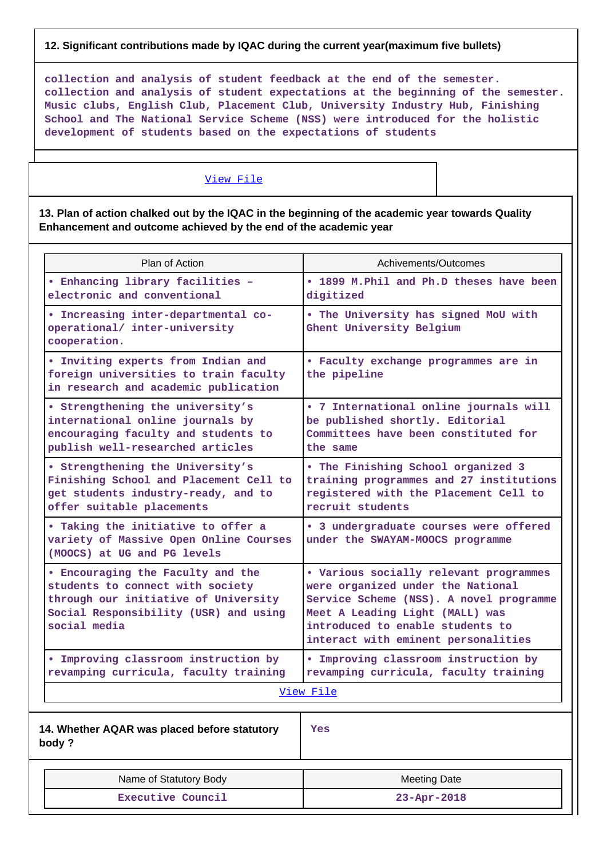#### **12. Significant contributions made by IQAC during the current year(maximum five bullets)**

**collection and analysis of student feedback at the end of the semester. collection and analysis of student expectations at the beginning of the semester. Music clubs, English Club, Placement Club, University Industry Hub, Finishing School and The National Service Scheme (NSS) were introduced for the holistic development of students based on the expectations of students**

#### [View File](https://assessmentonline.naac.gov.in/public/Postacc/Contribution/837_Contribution.xlsx)

**13. Plan of action chalked out by the IQAC in the beginning of the academic year towards Quality Enhancement and outcome achieved by the end of the academic year**

| Plan of Action                                                                                                                                                         | Achivements/Outcomes                                                                                                                                                                                                                 |  |  |  |  |  |
|------------------------------------------------------------------------------------------------------------------------------------------------------------------------|--------------------------------------------------------------------------------------------------------------------------------------------------------------------------------------------------------------------------------------|--|--|--|--|--|
| • Enhancing library facilities -<br>electronic and conventional                                                                                                        | • 1899 M. Phil and Ph.D theses have been<br>digitized                                                                                                                                                                                |  |  |  |  |  |
| · Increasing inter-departmental co-<br>operational/ inter-university<br>cooperation.                                                                                   | . The University has signed MoU with<br>Ghent University Belgium                                                                                                                                                                     |  |  |  |  |  |
| . Inviting experts from Indian and<br>foreign universities to train faculty<br>in research and academic publication                                                    | · Faculty exchange programmes are in<br>the pipeline                                                                                                                                                                                 |  |  |  |  |  |
| • Strengthening the university's<br>international online journals by<br>encouraging faculty and students to<br>publish well-researched articles                        | • 7 International online journals will<br>be published shortly. Editorial<br>Committees have been constituted for<br>the same                                                                                                        |  |  |  |  |  |
| • Strengthening the University's<br>Finishing School and Placement Cell to<br>get students industry-ready, and to<br>offer suitable placements                         | • The Finishing School organized 3<br>training programmes and 27 institutions<br>registered with the Placement Cell to<br>recruit students                                                                                           |  |  |  |  |  |
| . Taking the initiative to offer a<br>variety of Massive Open Online Courses<br>(MOOCS) at UG and PG levels                                                            | · 3 undergraduate courses were offered<br>under the SWAYAM-MOOCS programme                                                                                                                                                           |  |  |  |  |  |
| . Encouraging the Faculty and the<br>students to connect with society<br>through our initiative of University<br>Social Responsibility (USR) and using<br>social media | . Various socially relevant programmes<br>were organized under the National<br>Service Scheme (NSS). A novel programme<br>Meet A Leading Light (MALL) was<br>introduced to enable students to<br>interact with eminent personalities |  |  |  |  |  |
| . Improving classroom instruction by<br>revamping curricula, faculty training                                                                                          | . Improving classroom instruction by<br>revamping curricula, faculty training                                                                                                                                                        |  |  |  |  |  |
|                                                                                                                                                                        | View File                                                                                                                                                                                                                            |  |  |  |  |  |
| 14. Whether AQAR was placed before statutory<br>body?                                                                                                                  | <b>Yes</b>                                                                                                                                                                                                                           |  |  |  |  |  |

| Name of Statutory Body | <b>Meeting Date</b> |
|------------------------|---------------------|
| Executive Council      | $23 - Apr - 2018$   |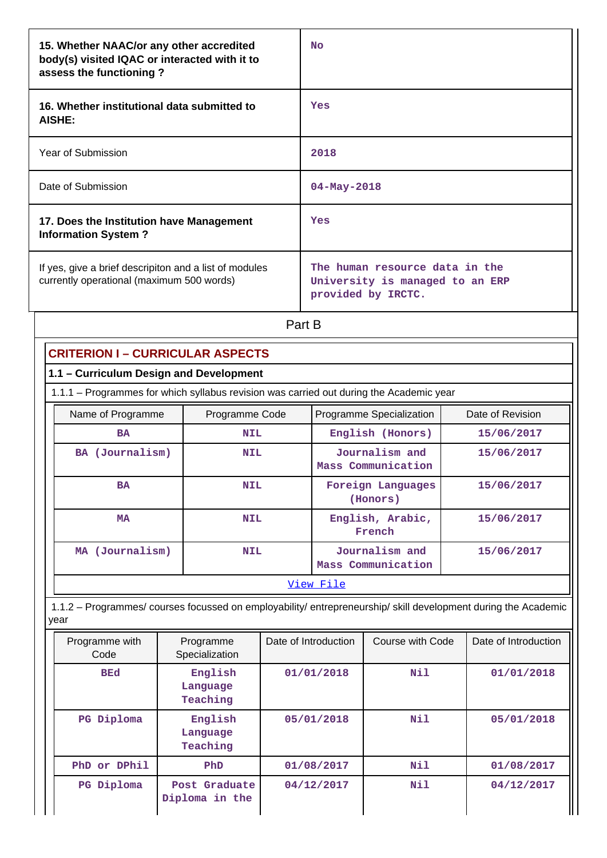| 15. Whether NAAC/or any other accredited<br>body(s) visited IQAC or interacted with it to<br>assess the functioning? | No                                                                                      |
|----------------------------------------------------------------------------------------------------------------------|-----------------------------------------------------------------------------------------|
| 16. Whether institutional data submitted to<br>AISHE:                                                                | Yes                                                                                     |
| Year of Submission                                                                                                   | 2018                                                                                    |
| Date of Submission                                                                                                   | $04 - May - 2018$                                                                       |
| 17. Does the Institution have Management<br><b>Information System?</b>                                               | Yes                                                                                     |
| If yes, give a brief descripiton and a list of modules<br>currently operational (maximum 500 words)                  | The human resource data in the<br>University is managed to an ERP<br>provided by IRCTC. |

## Part B

| <b>CRITERION I - CURRICULAR ASPECTS</b>                                                 |                                                                                                                |                      |                                      |                                      |            |                      |  |  |  |
|-----------------------------------------------------------------------------------------|----------------------------------------------------------------------------------------------------------------|----------------------|--------------------------------------|--------------------------------------|------------|----------------------|--|--|--|
| 1.1 - Curriculum Design and Development                                                 |                                                                                                                |                      |                                      |                                      |            |                      |  |  |  |
| 1.1.1 - Programmes for which syllabus revision was carried out during the Academic year |                                                                                                                |                      |                                      |                                      |            |                      |  |  |  |
| Name of Programme                                                                       | Programme Code                                                                                                 |                      | Programme Specialization             |                                      |            | Date of Revision     |  |  |  |
| <b>BA</b>                                                                               | <b>NIL</b>                                                                                                     |                      | English (Honors)                     |                                      | 15/06/2017 |                      |  |  |  |
| BA (Journalism)                                                                         | <b>NIL</b>                                                                                                     |                      |                                      | Journalism and<br>Mass Communication |            | 15/06/2017           |  |  |  |
| <b>BA</b>                                                                               | <b>NIL</b>                                                                                                     |                      |                                      | Foreign Languages<br>(Honors)        |            | 15/06/2017           |  |  |  |
| <b>MA</b>                                                                               | <b>NIL</b>                                                                                                     |                      |                                      | English, Arabic,<br>French           |            | 15/06/2017           |  |  |  |
| MA (Journalism)                                                                         | <b>NIL</b>                                                                                                     |                      | Journalism and<br>Mass Communication |                                      | 15/06/2017 |                      |  |  |  |
|                                                                                         |                                                                                                                |                      | View File                            |                                      |            |                      |  |  |  |
| year                                                                                    | 1.1.2 – Programmes/ courses focussed on employability/ entrepreneurship/ skill development during the Academic |                      |                                      |                                      |            |                      |  |  |  |
| Programme with<br>Code                                                                  | Programme<br>Specialization                                                                                    | Date of Introduction |                                      | Course with Code<br>Nil              |            | Date of Introduction |  |  |  |
| <b>BEd</b>                                                                              | English<br>Language<br>Teaching                                                                                |                      | 01/01/2018                           |                                      |            | 01/01/2018           |  |  |  |
| English<br>PG Diploma<br>Language<br>Teaching                                           |                                                                                                                |                      | 05/01/2018                           | Nil                                  |            | 05/01/2018           |  |  |  |
| PhD or DPhil                                                                            | PhD                                                                                                            |                      | 01/08/2017                           | Nil                                  |            | 01/08/2017           |  |  |  |
| PG Diploma<br>Post Graduate<br>Diploma in the                                           |                                                                                                                |                      | 04/12/2017                           | Nil                                  |            | 04/12/2017           |  |  |  |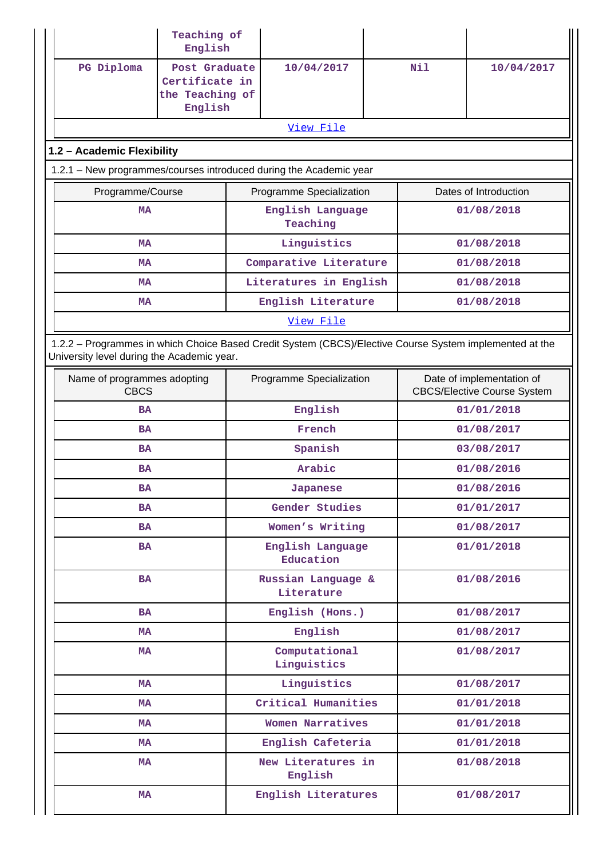|                                            | Teaching of<br>English                                                      |                                                                                                         |     |                                                                 |  |  |
|--------------------------------------------|-----------------------------------------------------------------------------|---------------------------------------------------------------------------------------------------------|-----|-----------------------------------------------------------------|--|--|
| PG Diploma                                 | Post Graduate<br>10/04/2017<br>Certificate in<br>the Teaching of<br>English |                                                                                                         | Nil | 10/04/2017                                                      |  |  |
|                                            |                                                                             | View File                                                                                               |     |                                                                 |  |  |
| 1.2 - Academic Flexibility                 |                                                                             |                                                                                                         |     |                                                                 |  |  |
|                                            |                                                                             | 1.2.1 - New programmes/courses introduced during the Academic year                                      |     |                                                                 |  |  |
| Programme/Course                           |                                                                             | Programme Specialization                                                                                |     | Dates of Introduction                                           |  |  |
| <b>MA</b>                                  |                                                                             | English Language<br>Teaching                                                                            |     | 01/08/2018                                                      |  |  |
| <b>MA</b>                                  |                                                                             | Linguistics                                                                                             |     | 01/08/2018                                                      |  |  |
| MA                                         |                                                                             | Comparative Literature                                                                                  |     | 01/08/2018                                                      |  |  |
| <b>MA</b>                                  |                                                                             | Literatures in English                                                                                  |     | 01/08/2018                                                      |  |  |
| <b>MA</b>                                  |                                                                             | English Literature                                                                                      |     | 01/08/2018                                                      |  |  |
|                                            |                                                                             | View File                                                                                               |     |                                                                 |  |  |
| University level during the Academic year. |                                                                             | 1.2.2 - Programmes in which Choice Based Credit System (CBCS)/Elective Course System implemented at the |     |                                                                 |  |  |
| Name of programmes adopting<br><b>CBCS</b> |                                                                             | Programme Specialization                                                                                |     | Date of implementation of<br><b>CBCS/Elective Course System</b> |  |  |
| <b>BA</b>                                  |                                                                             | English                                                                                                 |     | 01/01/2018                                                      |  |  |
| <b>BA</b>                                  |                                                                             | French                                                                                                  |     | 01/08/2017                                                      |  |  |
| <b>BA</b>                                  |                                                                             | Spanish                                                                                                 |     | 03/08/2017                                                      |  |  |
| <b>BA</b>                                  |                                                                             | Arabic                                                                                                  |     | 01/08/2016                                                      |  |  |
| BA                                         |                                                                             | Japanese                                                                                                |     | 01/08/2016                                                      |  |  |
| <b>BA</b>                                  |                                                                             | Gender Studies                                                                                          |     | 01/01/2017                                                      |  |  |
| <b>BA</b>                                  |                                                                             | Women's Writing                                                                                         |     | 01/08/2017                                                      |  |  |
| <b>BA</b>                                  |                                                                             | English Language<br>Education                                                                           |     | 01/01/2018                                                      |  |  |
| <b>BA</b>                                  |                                                                             | Russian Language &<br>Literature                                                                        |     | 01/08/2016                                                      |  |  |
| <b>BA</b>                                  |                                                                             | English (Hons.)                                                                                         |     | 01/08/2017                                                      |  |  |
| <b>MA</b>                                  |                                                                             | English                                                                                                 |     | 01/08/2017                                                      |  |  |
| MA                                         |                                                                             | Computational<br>Linguistics                                                                            |     | 01/08/2017                                                      |  |  |
| MA                                         |                                                                             | Linguistics                                                                                             |     | 01/08/2017                                                      |  |  |
| MA                                         |                                                                             | Critical Humanities                                                                                     |     | 01/01/2018                                                      |  |  |
| MA                                         |                                                                             | Women Narratives                                                                                        |     | 01/01/2018                                                      |  |  |
| MA                                         |                                                                             | English Cafeteria                                                                                       |     | 01/01/2018                                                      |  |  |
| MA                                         |                                                                             | New Literatures in<br>English                                                                           |     | 01/08/2018                                                      |  |  |
| MA                                         |                                                                             | English Literatures                                                                                     |     | 01/08/2017                                                      |  |  |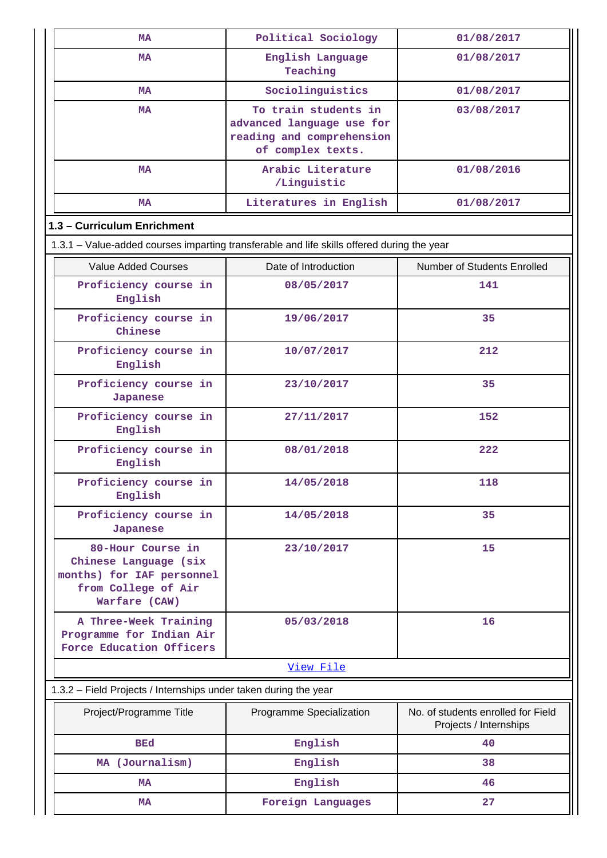|           | MA                                                                                                              | Political Sociology                                                                                 | 01/08/2017                                                   |  |  |  |  |
|-----------|-----------------------------------------------------------------------------------------------------------------|-----------------------------------------------------------------------------------------------------|--------------------------------------------------------------|--|--|--|--|
| <b>MA</b> |                                                                                                                 | English Language<br>Teaching                                                                        | 01/08/2017                                                   |  |  |  |  |
|           | MA                                                                                                              | Sociolinguistics                                                                                    | 01/08/2017                                                   |  |  |  |  |
|           | MA                                                                                                              | To train students in<br>advanced language use for<br>reading and comprehension<br>of complex texts. | 03/08/2017                                                   |  |  |  |  |
|           | MA                                                                                                              | Arabic Literature<br>/Linguistic                                                                    | 01/08/2016                                                   |  |  |  |  |
|           | <b>MA</b>                                                                                                       | Literatures in English                                                                              | 01/08/2017                                                   |  |  |  |  |
|           | 1.3 - Curriculum Enrichment                                                                                     |                                                                                                     |                                                              |  |  |  |  |
|           |                                                                                                                 | 1.3.1 - Value-added courses imparting transferable and life skills offered during the year          |                                                              |  |  |  |  |
|           | <b>Value Added Courses</b>                                                                                      | Date of Introduction                                                                                | Number of Students Enrolled                                  |  |  |  |  |
|           | Proficiency course in<br>English                                                                                | 08/05/2017                                                                                          | 141                                                          |  |  |  |  |
|           | Proficiency course in<br>Chinese                                                                                | 19/06/2017                                                                                          | 35                                                           |  |  |  |  |
|           | Proficiency course in<br>English                                                                                | 10/07/2017                                                                                          | 212                                                          |  |  |  |  |
|           | Proficiency course in<br><b>Japanese</b>                                                                        | 23/10/2017                                                                                          | 35                                                           |  |  |  |  |
|           | Proficiency course in<br>English                                                                                | 27/11/2017                                                                                          | 152                                                          |  |  |  |  |
|           | Proficiency course in<br>English                                                                                | 08/01/2018                                                                                          | 222                                                          |  |  |  |  |
|           | Proficiency course in<br>English                                                                                | 14/05/2018                                                                                          | 118                                                          |  |  |  |  |
|           | Proficiency course in<br>Japanese                                                                               | 14/05/2018                                                                                          | 35                                                           |  |  |  |  |
|           | 80-Hour Course in<br>Chinese Language (six<br>months) for IAF personnel<br>from College of Air<br>Warfare (CAW) | 23/10/2017                                                                                          | 15                                                           |  |  |  |  |
|           | A Three-Week Training<br>Programme for Indian Air<br>Force Education Officers                                   | 05/03/2018                                                                                          | 16                                                           |  |  |  |  |
|           |                                                                                                                 | View File                                                                                           |                                                              |  |  |  |  |
|           | 1.3.2 - Field Projects / Internships under taken during the year                                                |                                                                                                     |                                                              |  |  |  |  |
|           | Project/Programme Title                                                                                         | Programme Specialization                                                                            | No. of students enrolled for Field<br>Projects / Internships |  |  |  |  |
|           | <b>BEd</b>                                                                                                      | English                                                                                             | 40                                                           |  |  |  |  |
|           | MA (Journalism)                                                                                                 | English                                                                                             | 38                                                           |  |  |  |  |
|           | <b>MA</b>                                                                                                       | English                                                                                             | 46                                                           |  |  |  |  |
|           | <b>MA</b>                                                                                                       | Foreign Languages                                                                                   | 27                                                           |  |  |  |  |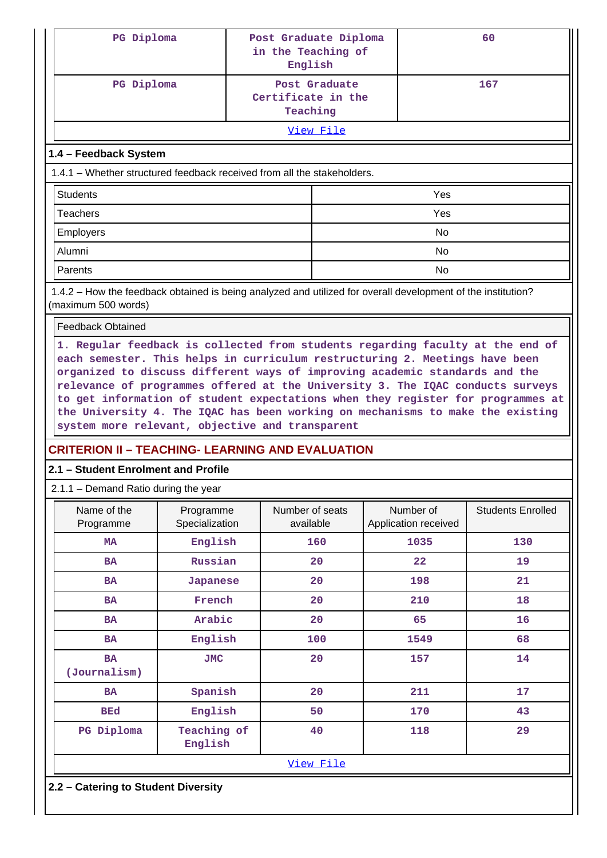| PG Diploma                                                                                                                          |                                                                                                                                                                                                                                                                                                                                                                                                                                                                      | Post Graduate Diploma<br>in the Teaching of<br>English |               |    |                                   | 60                       |  |  |  |
|-------------------------------------------------------------------------------------------------------------------------------------|----------------------------------------------------------------------------------------------------------------------------------------------------------------------------------------------------------------------------------------------------------------------------------------------------------------------------------------------------------------------------------------------------------------------------------------------------------------------|--------------------------------------------------------|---------------|----|-----------------------------------|--------------------------|--|--|--|
| PG Diploma                                                                                                                          |                                                                                                                                                                                                                                                                                                                                                                                                                                                                      | Certificate in the<br>Teaching                         | Post Graduate |    |                                   | 167                      |  |  |  |
|                                                                                                                                     |                                                                                                                                                                                                                                                                                                                                                                                                                                                                      |                                                        | View File     |    |                                   |                          |  |  |  |
| 1.4 - Feedback System                                                                                                               |                                                                                                                                                                                                                                                                                                                                                                                                                                                                      |                                                        |               |    |                                   |                          |  |  |  |
| 1.4.1 – Whether structured feedback received from all the stakeholders.                                                             |                                                                                                                                                                                                                                                                                                                                                                                                                                                                      |                                                        |               |    |                                   |                          |  |  |  |
| <b>Students</b>                                                                                                                     |                                                                                                                                                                                                                                                                                                                                                                                                                                                                      |                                                        |               |    | Yes                               |                          |  |  |  |
| <b>Teachers</b>                                                                                                                     |                                                                                                                                                                                                                                                                                                                                                                                                                                                                      |                                                        |               |    | Yes                               |                          |  |  |  |
| <b>Employers</b>                                                                                                                    |                                                                                                                                                                                                                                                                                                                                                                                                                                                                      |                                                        |               |    | <b>No</b>                         |                          |  |  |  |
| Alumni                                                                                                                              |                                                                                                                                                                                                                                                                                                                                                                                                                                                                      |                                                        |               |    | <b>No</b>                         |                          |  |  |  |
| Parents                                                                                                                             |                                                                                                                                                                                                                                                                                                                                                                                                                                                                      |                                                        |               |    | <b>No</b>                         |                          |  |  |  |
| 1.4.2 – How the feedback obtained is being analyzed and utilized for overall development of the institution?<br>(maximum 500 words) |                                                                                                                                                                                                                                                                                                                                                                                                                                                                      |                                                        |               |    |                                   |                          |  |  |  |
| <b>Feedback Obtained</b>                                                                                                            |                                                                                                                                                                                                                                                                                                                                                                                                                                                                      |                                                        |               |    |                                   |                          |  |  |  |
|                                                                                                                                     | each semester. This helps in curriculum restructuring 2. Meetings have been<br>organized to discuss different ways of improving academic standards and the<br>relevance of programmes offered at the University 3. The IQAC conducts surveys<br>to get information of student expectations when they register for programmes at<br>the University 4. The IQAC has been working on mechanisms to make the existing<br>system more relevant, objective and transparent |                                                        |               |    |                                   |                          |  |  |  |
| <b>CRITERION II - TEACHING- LEARNING AND EVALUATION</b>                                                                             |                                                                                                                                                                                                                                                                                                                                                                                                                                                                      |                                                        |               |    |                                   |                          |  |  |  |
| 2.1 - Student Enrolment and Profile                                                                                                 |                                                                                                                                                                                                                                                                                                                                                                                                                                                                      |                                                        |               |    |                                   |                          |  |  |  |
| $2.1.1 -$ Demand Ratio during the year                                                                                              |                                                                                                                                                                                                                                                                                                                                                                                                                                                                      |                                                        |               |    |                                   |                          |  |  |  |
| Name of the<br>Programme                                                                                                            | Programme<br>Specialization                                                                                                                                                                                                                                                                                                                                                                                                                                          | Number of seats<br>available                           |               |    | Number of<br>Application received | <b>Students Enrolled</b> |  |  |  |
| MA                                                                                                                                  | English                                                                                                                                                                                                                                                                                                                                                                                                                                                              |                                                        | 160           |    | 1035                              | 130                      |  |  |  |
| <b>BA</b>                                                                                                                           | Russian                                                                                                                                                                                                                                                                                                                                                                                                                                                              |                                                        | 20            |    | $22 \overline{)}$                 | 19                       |  |  |  |
| <b>BA</b>                                                                                                                           | <b>Japanese</b>                                                                                                                                                                                                                                                                                                                                                                                                                                                      |                                                        | 20            |    | 198                               | 21                       |  |  |  |
| <b>BA</b>                                                                                                                           | French                                                                                                                                                                                                                                                                                                                                                                                                                                                               |                                                        | 20            |    | 210                               | 18                       |  |  |  |
| <b>BA</b>                                                                                                                           | Arabic                                                                                                                                                                                                                                                                                                                                                                                                                                                               |                                                        | 20            |    | 65                                | 16                       |  |  |  |
| <b>BA</b>                                                                                                                           | English                                                                                                                                                                                                                                                                                                                                                                                                                                                              |                                                        | 100           |    | 1549                              | 68                       |  |  |  |
| <b>BA</b><br>(Journalism)                                                                                                           | <b>JMC</b>                                                                                                                                                                                                                                                                                                                                                                                                                                                           |                                                        | 20            |    | 157                               | 14                       |  |  |  |
| <b>BA</b>                                                                                                                           | Spanish                                                                                                                                                                                                                                                                                                                                                                                                                                                              |                                                        | 20            |    | 211                               | 17                       |  |  |  |
| <b>BEd</b>                                                                                                                          | English                                                                                                                                                                                                                                                                                                                                                                                                                                                              |                                                        | 50            |    | 170                               | 43                       |  |  |  |
| PG Diploma                                                                                                                          | Teaching of<br>English                                                                                                                                                                                                                                                                                                                                                                                                                                               |                                                        | 40            | 29 |                                   |                          |  |  |  |
|                                                                                                                                     |                                                                                                                                                                                                                                                                                                                                                                                                                                                                      |                                                        | View File     |    |                                   |                          |  |  |  |
|                                                                                                                                     | 2.2 - Catering to Student Diversity                                                                                                                                                                                                                                                                                                                                                                                                                                  |                                                        |               |    |                                   |                          |  |  |  |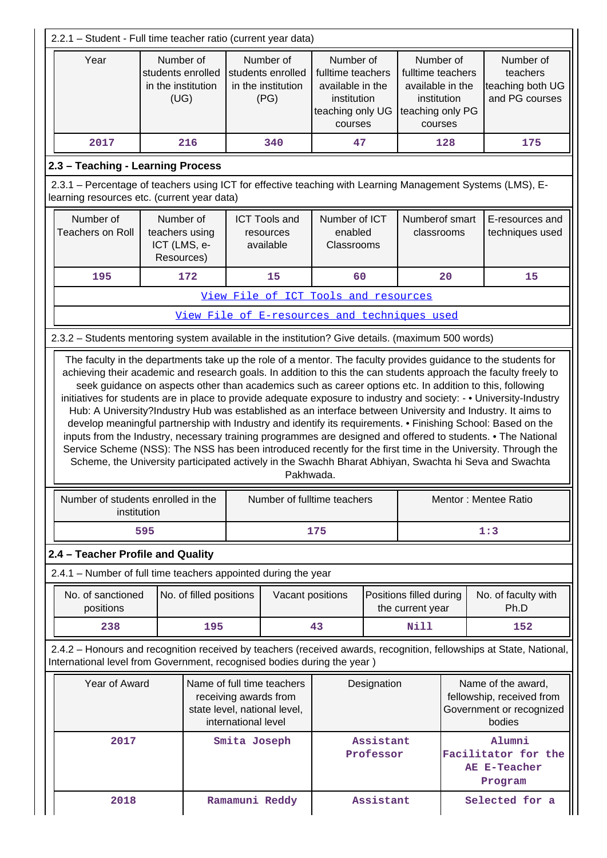| 2.2.1 - Student - Full time teacher ratio (current year data)                                                                                             |                                                              |                         |              |                                                              |                                                                                                  |                        |                                                                                                  |     |                                                                                                                                                                                                                                                                                                                                                                                                                                                                                                                                                                                                                                                                                                                                                                                                         |
|-----------------------------------------------------------------------------------------------------------------------------------------------------------|--------------------------------------------------------------|-------------------------|--------------|--------------------------------------------------------------|--------------------------------------------------------------------------------------------------|------------------------|--------------------------------------------------------------------------------------------------|-----|---------------------------------------------------------------------------------------------------------------------------------------------------------------------------------------------------------------------------------------------------------------------------------------------------------------------------------------------------------------------------------------------------------------------------------------------------------------------------------------------------------------------------------------------------------------------------------------------------------------------------------------------------------------------------------------------------------------------------------------------------------------------------------------------------------|
| Year                                                                                                                                                      | Number of<br>students enrolled<br>in the institution<br>(UG) |                         |              | Number of<br>students enrolled<br>in the institution<br>(PG) | Number of<br>fulltime teachers<br>available in the<br>institution<br>teaching only UG<br>courses |                        | Number of<br>fulltime teachers<br>available in the<br>institution<br>teaching only PG<br>courses |     | Number of<br>teachers<br>teaching both UG<br>and PG courses                                                                                                                                                                                                                                                                                                                                                                                                                                                                                                                                                                                                                                                                                                                                             |
| 2017                                                                                                                                                      |                                                              | 216                     |              | 340                                                          | 47                                                                                               |                        |                                                                                                  | 128 | 175                                                                                                                                                                                                                                                                                                                                                                                                                                                                                                                                                                                                                                                                                                                                                                                                     |
| 2.3 - Teaching - Learning Process                                                                                                                         |                                                              |                         |              |                                                              |                                                                                                  |                        |                                                                                                  |     |                                                                                                                                                                                                                                                                                                                                                                                                                                                                                                                                                                                                                                                                                                                                                                                                         |
| 2.3.1 – Percentage of teachers using ICT for effective teaching with Learning Management Systems (LMS), E-<br>learning resources etc. (current year data) |                                                              |                         |              |                                                              |                                                                                                  |                        |                                                                                                  |     |                                                                                                                                                                                                                                                                                                                                                                                                                                                                                                                                                                                                                                                                                                                                                                                                         |
| Number of<br><b>Teachers on Roll</b>                                                                                                                      | Number of<br>teachers using<br>ICT (LMS, e-<br>Resources)    |                         |              | <b>ICT Tools and</b><br>resources<br>available               | Number of ICT<br>enabled<br>Classrooms                                                           |                        | Numberof smart<br>classrooms                                                                     |     | E-resources and<br>techniques used                                                                                                                                                                                                                                                                                                                                                                                                                                                                                                                                                                                                                                                                                                                                                                      |
| 195                                                                                                                                                       |                                                              | 172                     |              | 15                                                           | 60                                                                                               |                        |                                                                                                  | 20  | 15                                                                                                                                                                                                                                                                                                                                                                                                                                                                                                                                                                                                                                                                                                                                                                                                      |
|                                                                                                                                                           |                                                              |                         |              | View File of ICT Tools and resources                         |                                                                                                  |                        |                                                                                                  |     |                                                                                                                                                                                                                                                                                                                                                                                                                                                                                                                                                                                                                                                                                                                                                                                                         |
|                                                                                                                                                           |                                                              |                         |              | View File of E-resources and techniques used                 |                                                                                                  |                        |                                                                                                  |     |                                                                                                                                                                                                                                                                                                                                                                                                                                                                                                                                                                                                                                                                                                                                                                                                         |
| 2.3.2 - Students mentoring system available in the institution? Give details. (maximum 500 words)                                                         |                                                              |                         |              |                                                              |                                                                                                  |                        |                                                                                                  |     |                                                                                                                                                                                                                                                                                                                                                                                                                                                                                                                                                                                                                                                                                                                                                                                                         |
|                                                                                                                                                           |                                                              |                         |              | Pakhwada.                                                    |                                                                                                  |                        |                                                                                                  |     | seek guidance on aspects other than academics such as career options etc. In addition to this, following<br>initiatives for students are in place to provide adequate exposure to industry and society: - . University-Industry<br>Hub: A University?Industry Hub was established as an interface between University and Industry. It aims to<br>develop meaningful partnership with Industry and identify its requirements. • Finishing School: Based on the<br>inputs from the Industry, necessary training programmes are designed and offered to students. • The National<br>Service Scheme (NSS): The NSS has been introduced recently for the first time in the University. Through the<br>Scheme, the University participated actively in the Swachh Bharat Abhiyan, Swachta hi Seva and Swachta |
| Number of students enrolled in the<br>institution                                                                                                         |                                                              |                         |              | Number of fulltime teachers                                  |                                                                                                  |                        |                                                                                                  |     | Mentor: Mentee Ratio                                                                                                                                                                                                                                                                                                                                                                                                                                                                                                                                                                                                                                                                                                                                                                                    |
|                                                                                                                                                           | 595                                                          |                         |              |                                                              | 175                                                                                              |                        |                                                                                                  |     | 1:3                                                                                                                                                                                                                                                                                                                                                                                                                                                                                                                                                                                                                                                                                                                                                                                                     |
| 2.4 - Teacher Profile and Quality                                                                                                                         |                                                              |                         |              |                                                              |                                                                                                  |                        |                                                                                                  |     |                                                                                                                                                                                                                                                                                                                                                                                                                                                                                                                                                                                                                                                                                                                                                                                                         |
| 2.4.1 - Number of full time teachers appointed during the year                                                                                            |                                                              |                         |              |                                                              |                                                                                                  |                        |                                                                                                  |     |                                                                                                                                                                                                                                                                                                                                                                                                                                                                                                                                                                                                                                                                                                                                                                                                         |
| No. of sanctioned<br>positions                                                                                                                            |                                                              | No. of filled positions |              | Vacant positions                                             |                                                                                                  |                        | Positions filled during<br>the current year                                                      |     | No. of faculty with<br>Ph.D                                                                                                                                                                                                                                                                                                                                                                                                                                                                                                                                                                                                                                                                                                                                                                             |
| 238                                                                                                                                                       |                                                              | 195                     |              |                                                              | 43                                                                                               |                        | Nill                                                                                             |     | 152                                                                                                                                                                                                                                                                                                                                                                                                                                                                                                                                                                                                                                                                                                                                                                                                     |
| International level from Government, recognised bodies during the year)                                                                                   |                                                              |                         |              |                                                              |                                                                                                  |                        |                                                                                                  |     | 2.4.2 - Honours and recognition received by teachers (received awards, recognition, fellowships at State, National,                                                                                                                                                                                                                                                                                                                                                                                                                                                                                                                                                                                                                                                                                     |
| Year of Award<br>Name of full time teachers<br>receiving awards from<br>state level, national level,<br>international level                               |                                                              |                         |              |                                                              | Designation                                                                                      |                        |                                                                                                  |     | Name of the award,<br>fellowship, received from<br>Government or recognized<br>bodies                                                                                                                                                                                                                                                                                                                                                                                                                                                                                                                                                                                                                                                                                                                   |
| 2017                                                                                                                                                      |                                                              |                         | Smita Joseph |                                                              |                                                                                                  | Assistant<br>Professor |                                                                                                  |     | Alumni<br>Facilitator for the<br>AE E-Teacher<br>Program                                                                                                                                                                                                                                                                                                                                                                                                                                                                                                                                                                                                                                                                                                                                                |
| 2018                                                                                                                                                      |                                                              |                         |              | Ramamuni Reddy                                               |                                                                                                  | Assistant              |                                                                                                  |     | Selected for a                                                                                                                                                                                                                                                                                                                                                                                                                                                                                                                                                                                                                                                                                                                                                                                          |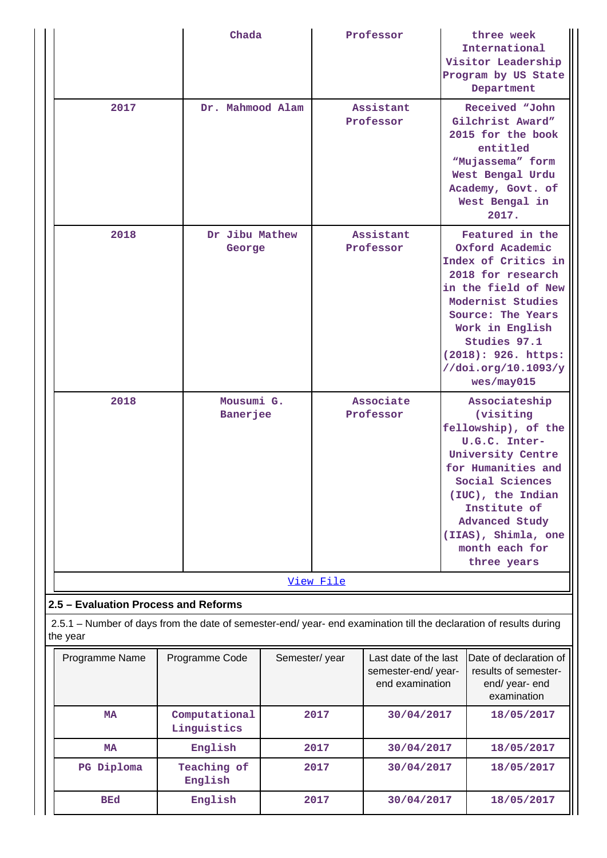|                                                                                                                                |         | Chada                           |  |                        | Professor                                                      |  | three week<br>International<br>Visitor Leadership                                                                                                                                                                                               |
|--------------------------------------------------------------------------------------------------------------------------------|---------|---------------------------------|--|------------------------|----------------------------------------------------------------|--|-------------------------------------------------------------------------------------------------------------------------------------------------------------------------------------------------------------------------------------------------|
|                                                                                                                                |         |                                 |  |                        |                                                                |  | Program by US State<br>Department                                                                                                                                                                                                               |
| 2017                                                                                                                           |         | Dr. Mahmood Alam                |  | Assistant<br>Professor |                                                                |  | Received "John<br>Gilchrist Award"<br>2015 for the book<br>entitled<br>"Mujassema" form<br>West Bengal Urdu<br>Academy, Govt. of<br>West Bengal in<br>2017.                                                                                     |
| 2018                                                                                                                           |         | Dr Jibu Mathew<br>George        |  | Assistant<br>Professor |                                                                |  | Featured in the<br>Oxford Academic<br>Index of Critics in<br>2018 for research<br>in the field of New<br>Modernist Studies<br>Source: The Years<br>Work in English<br>Studies 97.1<br>(2018): 926. https:<br>//doi.org/10.1093/y<br>wes/may015  |
| 2018                                                                                                                           |         | Mousumi G.<br><b>Banerjee</b>   |  |                        | Associate<br>Professor                                         |  | Associateship<br>(visiting<br>fellowship), of the<br>U.G.C. Inter-<br>University Centre<br>for Humanities and<br>Social Sciences<br>(IUC), the Indian<br>Institute of<br>Advanced Study<br>(IIAS), Shimla, one<br>month each for<br>three years |
|                                                                                                                                |         |                                 |  | View File              |                                                                |  |                                                                                                                                                                                                                                                 |
| 2.5 - Evaluation Process and Reforms                                                                                           |         |                                 |  |                        |                                                                |  |                                                                                                                                                                                                                                                 |
| 2.5.1 – Number of days from the date of semester-end/ year- end examination till the declaration of results during<br>the year |         |                                 |  |                        |                                                                |  |                                                                                                                                                                                                                                                 |
| Programme Name                                                                                                                 |         | Programme Code<br>Semester/year |  |                        | Last date of the last<br>semester-end/year-<br>end examination |  | Date of declaration of<br>results of semester-<br>end/ year- end<br>examination                                                                                                                                                                 |
| MA                                                                                                                             |         | Computational<br>Linguistics    |  | 2017                   | 30/04/2017                                                     |  | 18/05/2017                                                                                                                                                                                                                                      |
| MA                                                                                                                             |         | English                         |  | 2017                   | 30/04/2017                                                     |  | 18/05/2017                                                                                                                                                                                                                                      |
| PG Diploma                                                                                                                     |         | Teaching of<br>English          |  | 2017                   | 30/04/2017                                                     |  | 18/05/2017                                                                                                                                                                                                                                      |
| <b>BEd</b>                                                                                                                     | English |                                 |  | 2017                   | 30/04/2017                                                     |  | 18/05/2017                                                                                                                                                                                                                                      |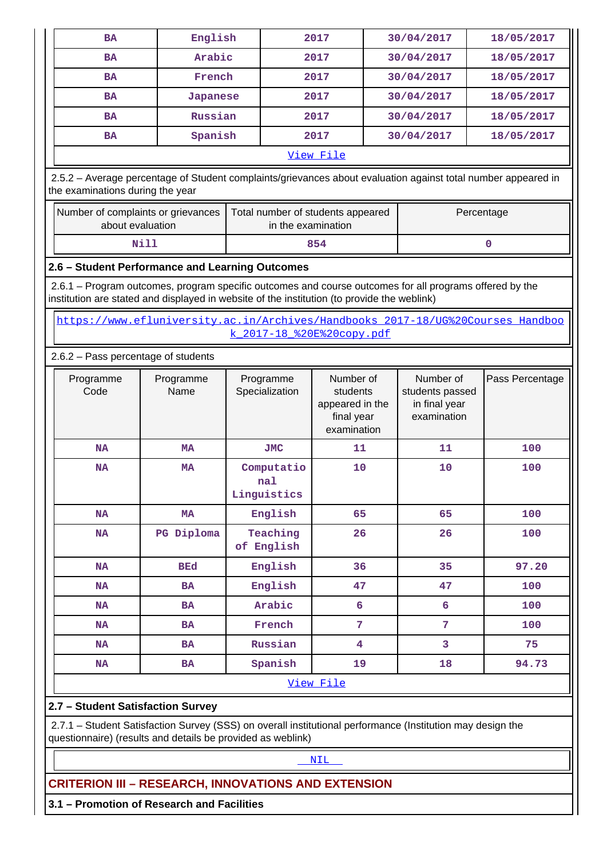| <b>BA</b>                                                                                                                                                                                              | English                             |                                   | 2017               |                                                                                                                                       | 30/04/2017 | 18/05/2017      |  |  |
|--------------------------------------------------------------------------------------------------------------------------------------------------------------------------------------------------------|-------------------------------------|-----------------------------------|--------------------|---------------------------------------------------------------------------------------------------------------------------------------|------------|-----------------|--|--|
| <b>BA</b>                                                                                                                                                                                              | Arabic                              |                                   | 2017               |                                                                                                                                       | 30/04/2017 | 18/05/2017      |  |  |
| <b>BA</b>                                                                                                                                                                                              | French                              |                                   | 2017               |                                                                                                                                       | 30/04/2017 | 18/05/2017      |  |  |
| <b>BA</b>                                                                                                                                                                                              | Japanese                            |                                   | 2017               | 30/04/2017                                                                                                                            |            | 18/05/2017      |  |  |
| <b>BA</b>                                                                                                                                                                                              | Russian                             |                                   | 2017               |                                                                                                                                       | 30/04/2017 | 18/05/2017      |  |  |
| <b>BA</b>                                                                                                                                                                                              | Spanish                             |                                   | 2017               |                                                                                                                                       | 30/04/2017 | 18/05/2017      |  |  |
| View File                                                                                                                                                                                              |                                     |                                   |                    |                                                                                                                                       |            |                 |  |  |
| 2.5.2 - Average percentage of Student complaints/grievances about evaluation against total number appeared in<br>the examinations during the year                                                      |                                     |                                   |                    |                                                                                                                                       |            |                 |  |  |
| Number of complaints or grievances<br>about evaluation                                                                                                                                                 |                                     | Total number of students appeared | in the examination |                                                                                                                                       |            | Percentage      |  |  |
| Nill                                                                                                                                                                                                   |                                     |                                   | 854                |                                                                                                                                       |            | $\mathbf{O}$    |  |  |
| 2.6 - Student Performance and Learning Outcomes                                                                                                                                                        |                                     |                                   |                    |                                                                                                                                       |            |                 |  |  |
| 2.6.1 – Program outcomes, program specific outcomes and course outcomes for all programs offered by the<br>institution are stated and displayed in website of the institution (to provide the weblink) |                                     |                                   |                    |                                                                                                                                       |            |                 |  |  |
| https://www.efluniversity.ac.in/Archives/Handbooks 2017-18/UG%20Courses Handboo                                                                                                                        |                                     | k 2017-18 %20E%20copy.pdf         |                    |                                                                                                                                       |            |                 |  |  |
|                                                                                                                                                                                                        | 2.6.2 - Pass percentage of students |                                   |                    |                                                                                                                                       |            |                 |  |  |
| Programme<br>Code                                                                                                                                                                                      | Programme<br>Name                   | Programme<br>Specialization       |                    | Number of<br>Number of<br>students<br>students passed<br>in final year<br>appeared in the<br>final year<br>examination<br>examination |            | Pass Percentage |  |  |
| <b>NA</b>                                                                                                                                                                                              | <b>MA</b>                           | <b>JMC</b>                        | 11                 |                                                                                                                                       | 11         | 100             |  |  |
| <b>NA</b>                                                                                                                                                                                              | <b>MA</b>                           | Computatio<br>nal<br>Linguistics  | 10                 |                                                                                                                                       | 10         | 100             |  |  |
| <b>NA</b>                                                                                                                                                                                              | <b>MA</b>                           | English                           | 65                 |                                                                                                                                       | 65         | 100             |  |  |
| <b>NA</b>                                                                                                                                                                                              | PG Diploma                          | Teaching<br>of English            | 26                 |                                                                                                                                       | 26         | 100             |  |  |
| <b>NA</b>                                                                                                                                                                                              | <b>BEd</b>                          | English                           | 36                 |                                                                                                                                       | 35         | 97.20           |  |  |
| <b>NA</b>                                                                                                                                                                                              | <b>BA</b>                           | English                           | 47                 |                                                                                                                                       | 47         | 100             |  |  |
| <b>NA</b>                                                                                                                                                                                              | <b>BA</b>                           | Arabic                            | 6                  |                                                                                                                                       | 6          | 100             |  |  |
| <b>NA</b>                                                                                                                                                                                              | <b>BA</b>                           | French                            | 7                  |                                                                                                                                       | 7          | 100             |  |  |
| <b>NA</b>                                                                                                                                                                                              | <b>BA</b>                           | Russian                           | 4                  |                                                                                                                                       | 3          | 75              |  |  |
| <b>NA</b>                                                                                                                                                                                              | <b>BA</b>                           | Spanish                           | 19                 |                                                                                                                                       | 18         | 94.73           |  |  |
|                                                                                                                                                                                                        |                                     |                                   | View File          |                                                                                                                                       |            |                 |  |  |
| 2.7 - Student Satisfaction Survey                                                                                                                                                                      |                                     |                                   |                    |                                                                                                                                       |            |                 |  |  |
| 2.7.1 - Student Satisfaction Survey (SSS) on overall institutional performance (Institution may design the<br>questionnaire) (results and details be provided as weblink)                              |                                     |                                   |                    |                                                                                                                                       |            |                 |  |  |
|                                                                                                                                                                                                        |                                     |                                   | NIL                |                                                                                                                                       |            |                 |  |  |

## **CRITERION III – RESEARCH, INNOVATIONS AND EXTENSION**

**3.1 – Promotion of Research and Facilities**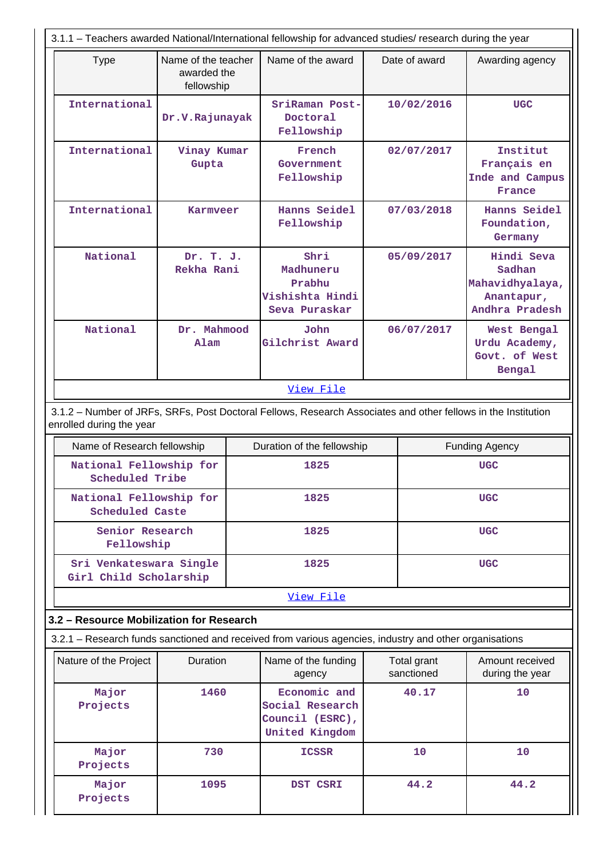|                                                                                                                                           |                                                                                    | 3.1.1 - Teachers awarded National/International fellowship for advanced studies/ research during the year |                                                                      |            |                           |                                                                         |  |  |  |
|-------------------------------------------------------------------------------------------------------------------------------------------|------------------------------------------------------------------------------------|-----------------------------------------------------------------------------------------------------------|----------------------------------------------------------------------|------------|---------------------------|-------------------------------------------------------------------------|--|--|--|
| <b>Type</b>                                                                                                                               | Name of the teacher<br>awarded the<br>fellowship                                   |                                                                                                           | Name of the award                                                    |            | Date of award             | Awarding agency                                                         |  |  |  |
| International                                                                                                                             | Dr.V.Rajunayak                                                                     |                                                                                                           | SriRaman Post-<br>Doctoral<br>Fellowship                             |            | 10/02/2016                | <b>UGC</b>                                                              |  |  |  |
| International                                                                                                                             | Vinay Kumar<br>Gupta                                                               |                                                                                                           | French<br>Government<br>Fellowship                                   | 02/07/2017 |                           | Institut<br>Français en<br>Inde and Campus<br>France                    |  |  |  |
| International                                                                                                                             | <b>Karmveer</b>                                                                    |                                                                                                           | Hanns Seidel<br>Fellowship                                           | 07/03/2018 |                           | Hanns Seidel<br>Foundation,<br>Germany                                  |  |  |  |
| <b>National</b>                                                                                                                           | Dr. T. J.<br>Rekha Rani                                                            |                                                                                                           | Shri<br>Madhuneru<br>Prabhu<br>Vishishta Hindi<br>Seva Puraskar      |            | 05/09/2017                | Hindi Seva<br>Sadhan<br>Mahavidhyalaya,<br>Anantapur,<br>Andhra Pradesh |  |  |  |
| National                                                                                                                                  | Dr. Mahmood<br>Alam                                                                |                                                                                                           | John<br>Gilchrist Award                                              | 06/07/2017 |                           | West Bengal<br>Urdu Academy,<br>Govt. of West<br>Bengal                 |  |  |  |
|                                                                                                                                           | View File                                                                          |                                                                                                           |                                                                      |            |                           |                                                                         |  |  |  |
| 3.1.2 - Number of JRFs, SRFs, Post Doctoral Fellows, Research Associates and other fellows in the Institution<br>enrolled during the year |                                                                                    |                                                                                                           |                                                                      |            |                           |                                                                         |  |  |  |
|                                                                                                                                           | Name of Research fellowship<br>Duration of the fellowship<br><b>Funding Agency</b> |                                                                                                           |                                                                      |            |                           |                                                                         |  |  |  |
| National Fellowship for<br>Scheduled Tribe                                                                                                |                                                                                    |                                                                                                           | 1825                                                                 |            |                           | <b>UGC</b>                                                              |  |  |  |
| National Fellowship for<br><b>Scheduled Caste</b>                                                                                         |                                                                                    |                                                                                                           | 1825                                                                 |            |                           | <b>UGC</b>                                                              |  |  |  |
| Senior Research<br>Fellowship                                                                                                             |                                                                                    |                                                                                                           | 1825                                                                 |            |                           | <b>UGC</b>                                                              |  |  |  |
| Sri Venkateswara Single<br>Girl Child Scholarship                                                                                         |                                                                                    |                                                                                                           | 1825                                                                 |            |                           | <b>UGC</b>                                                              |  |  |  |
|                                                                                                                                           |                                                                                    |                                                                                                           | View File                                                            |            |                           |                                                                         |  |  |  |
| 3.2 - Resource Mobilization for Research                                                                                                  |                                                                                    |                                                                                                           |                                                                      |            |                           |                                                                         |  |  |  |
| 3.2.1 – Research funds sanctioned and received from various agencies, industry and other organisations                                    |                                                                                    |                                                                                                           |                                                                      |            |                           |                                                                         |  |  |  |
| Nature of the Project                                                                                                                     | Duration                                                                           |                                                                                                           | Name of the funding<br>agency                                        |            | Total grant<br>sanctioned | Amount received<br>during the year                                      |  |  |  |
| Major<br>Projects                                                                                                                         | 1460                                                                               |                                                                                                           | Economic and<br>Social Research<br>Council (ESRC),<br>United Kingdom | 40.17      |                           | 10                                                                      |  |  |  |
| Major<br>Projects                                                                                                                         | 730                                                                                |                                                                                                           | <b>ICSSR</b>                                                         |            | 10                        | 10                                                                      |  |  |  |
| Major<br>Projects                                                                                                                         | 1095                                                                               |                                                                                                           | DST CSRI                                                             |            | 44.2                      | 44.2                                                                    |  |  |  |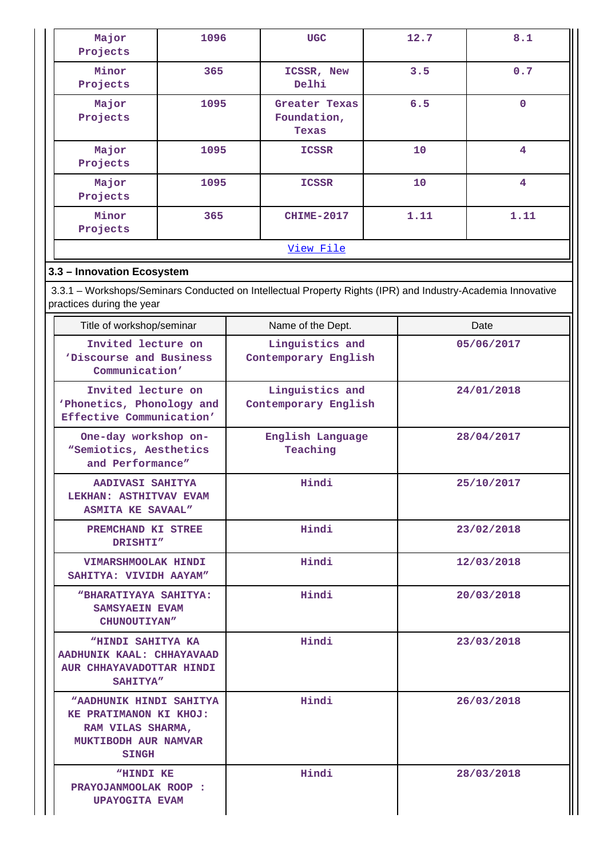| Major<br>Projects | 1096 | <b>UGC</b>                            | 12.7 | 8.1                     |
|-------------------|------|---------------------------------------|------|-------------------------|
| Minor<br>Projects | 365  | ICSSR, New<br>Delhi                   | 3.5  | 0.7                     |
| Major<br>Projects | 1095 | Greater Texas<br>Foundation,<br>Texas | 6.5  | $\mathbf 0$             |
| Major<br>Projects | 1095 | <b>ICSSR</b>                          | 10   | $\overline{\mathbf{4}}$ |
| Major<br>Projects | 1095 | <b>ICSSR</b>                          | 10   | 4                       |
| Minor<br>Projects | 365  | <b>CHIME-2017</b>                     | 1.11 | 1.11                    |
|                   |      | View File                             |      |                         |

## **3.3 – Innovation Ecosystem**

 3.3.1 – Workshops/Seminars Conducted on Intellectual Property Rights (IPR) and Industry-Academia Innovative practices during the year

| Title of workshop/seminar                                                                                                    | Name of the Dept.                       | Date       |
|------------------------------------------------------------------------------------------------------------------------------|-----------------------------------------|------------|
| Invited lecture on<br>'Discourse and Business<br>Communication'                                                              | Linguistics and<br>Contemporary English | 05/06/2017 |
| Invited lecture on<br>'Phonetics, Phonology and<br>Effective Communication'                                                  | Linguistics and<br>Contemporary English | 24/01/2018 |
| One-day workshop on-<br>"Semiotics, Aesthetics<br>and Performance"                                                           | English Language<br>Teaching            | 28/04/2017 |
| AADIVASI SAHITYA<br>LEKHAN: ASTHITVAV EVAM<br><b>ASMITA KE SAVAAL"</b>                                                       | Hindi                                   | 25/10/2017 |
| PREMCHAND KI STREE<br>DRISHTI"                                                                                               | Hindi                                   | 23/02/2018 |
| VIMARSHMOOLAK HINDI<br>SAHITYA: VIVIDH AAYAM"                                                                                | Hindi                                   | 12/03/2018 |
| "BHARATIYAYA SAHITYA:<br>SAMSYAEIN EVAM<br>CHUNOUTIYAN"                                                                      | Hindi                                   | 20/03/2018 |
| "HINDI SAHITYA KA<br>AADHUNIK KAAL: CHHAYAVAAD<br>AUR CHHAYAVADOTTAR HINDI<br><b>SAHITYA"</b>                                | Hindi                                   | 23/03/2018 |
| <b>"AADHUNIK HINDI SAHITYA</b><br>KE PRATIMANON KI KHOJ:<br>RAM VILAS SHARMA,<br><b>MUKTIBODH AUR NAMVAR</b><br><b>SINGH</b> | Hindi                                   | 26/03/2018 |
| "HINDI KE<br><b>PRAYOJANMOOLAK ROOP :</b><br><b>UPAYOGITA EVAM</b>                                                           | Hindi                                   | 28/03/2018 |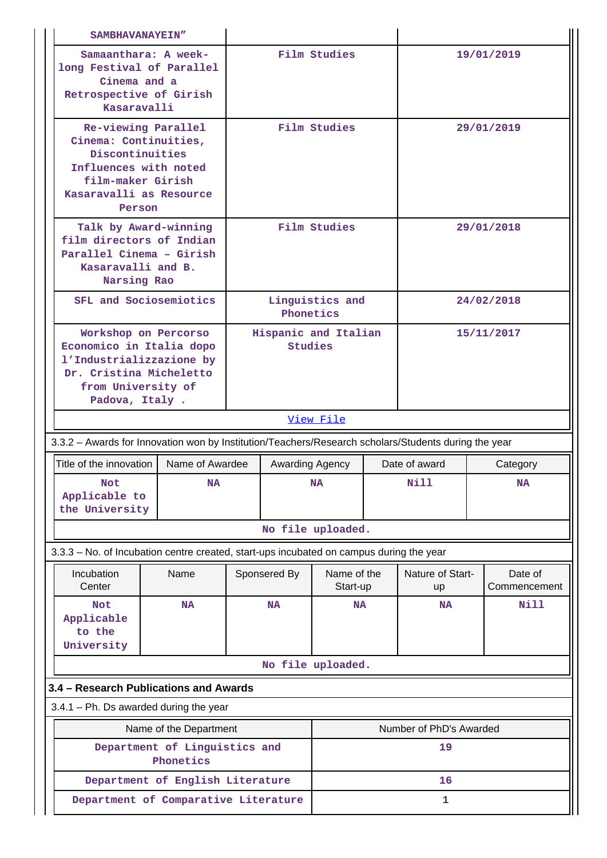|                                                                                                                                                    | SAMBHAVANAYEIN"                                                                                                               |                 |                                 |                         |          |                         |                         |  |
|----------------------------------------------------------------------------------------------------------------------------------------------------|-------------------------------------------------------------------------------------------------------------------------------|-----------------|---------------------------------|-------------------------|----------|-------------------------|-------------------------|--|
|                                                                                                                                                    | Samaanthara: A week-<br>long Festival of Parallel<br>Cinema and a<br>Retrospective of Girish<br>Kasaravalli                   |                 |                                 | Film Studies            |          |                         | 19/01/2019              |  |
| Re-viewing Parallel<br>Cinema: Continuities,<br>Discontinuities<br>Influences with noted<br>film-maker Girish<br>Kasaravalli as Resource<br>Person |                                                                                                                               |                 |                                 | Film Studies            |          |                         | 29/01/2019              |  |
| Kasaravalli and B.<br>Narsing Rao                                                                                                                  | Talk by Award-winning<br>film directors of Indian<br>Parallel Cinema - Girish                                                 |                 |                                 | Film Studies            |          |                         | 29/01/2018              |  |
|                                                                                                                                                    | SFL and Sociosemiotics                                                                                                        |                 | Phonetics                       | Linguistics and         |          |                         | 24/02/2018              |  |
| Padova, Italy.                                                                                                                                     | Workshop on Percorso<br>Economico in Italia dopo<br>l'Industrializzazione by<br>Dr. Cristina Micheletto<br>from University of |                 | Hispanic and Italian<br>Studies |                         |          | 15/11/2017              |                         |  |
|                                                                                                                                                    |                                                                                                                               |                 |                                 | View File               |          |                         |                         |  |
| 3.3.2 - Awards for Innovation won by Institution/Teachers/Research scholars/Students during the year                                               |                                                                                                                               |                 |                                 |                         |          |                         |                         |  |
| Title of the innovation                                                                                                                            | Name of Awardee                                                                                                               | Awarding Agency |                                 | Date of award           | Category |                         |                         |  |
| Not<br>Applicable to<br>the University                                                                                                             | NA                                                                                                                            |                 |                                 | <b>NA</b>               |          | <b>Nill</b>             | <b>NA</b>               |  |
|                                                                                                                                                    |                                                                                                                               |                 |                                 | No file uploaded.       |          |                         |                         |  |
| 3.3.3 - No. of Incubation centre created, start-ups incubated on campus during the year                                                            |                                                                                                                               |                 |                                 |                         |          |                         |                         |  |
| Incubation<br>Center                                                                                                                               | Name                                                                                                                          |                 | Sponsered By                    | Name of the<br>Start-up |          | Nature of Start-<br>up  | Date of<br>Commencement |  |
| <b>Not</b><br>Applicable<br>to the<br>University                                                                                                   | <b>NA</b>                                                                                                                     |                 | <b>NA</b>                       | <b>NA</b><br><b>NA</b>  |          | Nill                    |                         |  |
|                                                                                                                                                    |                                                                                                                               |                 |                                 | No file uploaded.       |          |                         |                         |  |
| 3.4 - Research Publications and Awards                                                                                                             |                                                                                                                               |                 |                                 |                         |          |                         |                         |  |
| $3.4.1$ – Ph. Ds awarded during the year                                                                                                           |                                                                                                                               |                 |                                 |                         |          |                         |                         |  |
|                                                                                                                                                    | Name of the Department                                                                                                        |                 |                                 |                         |          | Number of PhD's Awarded |                         |  |
|                                                                                                                                                    | Department of Linguistics and<br>Phonetics                                                                                    |                 |                                 |                         |          | 19                      |                         |  |
|                                                                                                                                                    | Department of English Literature                                                                                              |                 |                                 |                         |          | 16                      |                         |  |
| Department of Comparative Literature                                                                                                               |                                                                                                                               |                 |                                 |                         |          | 1                       |                         |  |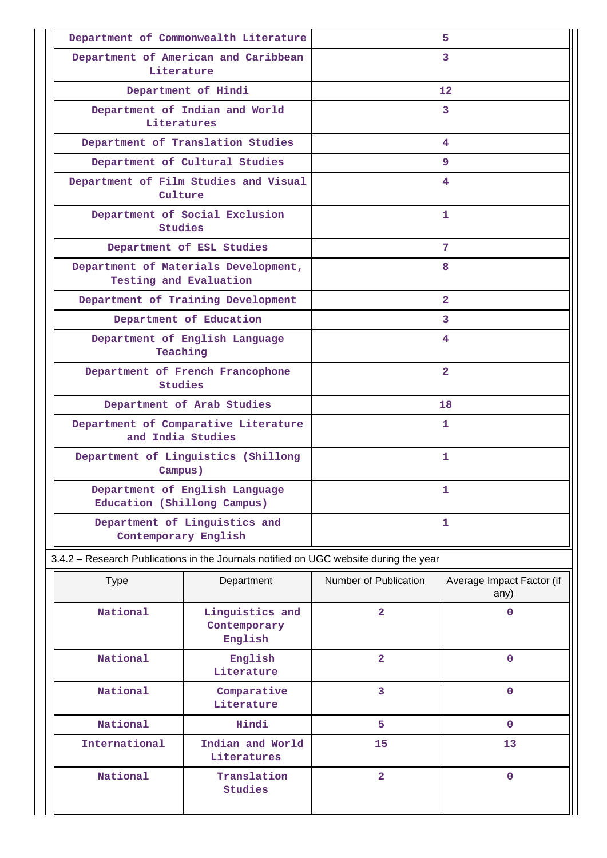|                             | Department of Commonwealth Literature                                                 | 5.                            |                                   |  |
|-----------------------------|---------------------------------------------------------------------------------------|-------------------------------|-----------------------------------|--|
| Literature                  | Department of American and Caribbean                                                  |                               | 3                                 |  |
|                             | Department of Hindi                                                                   |                               | 12                                |  |
| Literatures                 | Department of Indian and World                                                        |                               | 3                                 |  |
|                             | Department of Translation Studies                                                     |                               | 4                                 |  |
|                             | Department of Cultural Studies                                                        |                               | 9                                 |  |
| Culture                     | Department of Film Studies and Visual                                                 | 4                             |                                   |  |
| Studies                     | Department of Social Exclusion                                                        |                               | 1                                 |  |
|                             | Department of ESL Studies                                                             |                               | 7                                 |  |
| Testing and Evaluation      | Department of Materials Development,                                                  |                               | 8                                 |  |
|                             | Department of Training Development                                                    |                               | $\overline{2}$                    |  |
|                             | Department of Education                                                               |                               | 3                                 |  |
| Teaching                    | Department of English Language                                                        | 4                             |                                   |  |
| Studies                     | Department of French Francophone                                                      | $\overline{2}$                |                                   |  |
|                             | Department of Arab Studies                                                            |                               | 18                                |  |
| and India Studies           | Department of Comparative Literature                                                  | 1                             |                                   |  |
| Campus)                     | Department of Linguistics (Shillong                                                   | 1                             |                                   |  |
| Education (Shillong Campus) | Department of English Language                                                        |                               | 1                                 |  |
| Contemporary English        | Department of Linguistics and                                                         |                               | 1                                 |  |
|                             | 3.4.2 - Research Publications in the Journals notified on UGC website during the year |                               |                                   |  |
| <b>Type</b>                 | Department                                                                            | Number of Publication         | Average Impact Factor (if<br>any) |  |
| National                    | Linguistics and<br>Contemporary<br>English                                            | $\overline{a}$<br>$\mathbf 0$ |                                   |  |
| National                    | English<br>Literature                                                                 | $\overline{\mathbf{2}}$       | $\mathbf 0$                       |  |
| National                    | Comparative<br>Literature                                                             | 3                             | $\mathbf 0$                       |  |
| National                    | Hindi                                                                                 | 5                             | $\mathbf 0$                       |  |
| International               | Indian and World                                                                      | 15                            | 13                                |  |

**Literatures**

**Studies**

**2** 0

 **National Translation**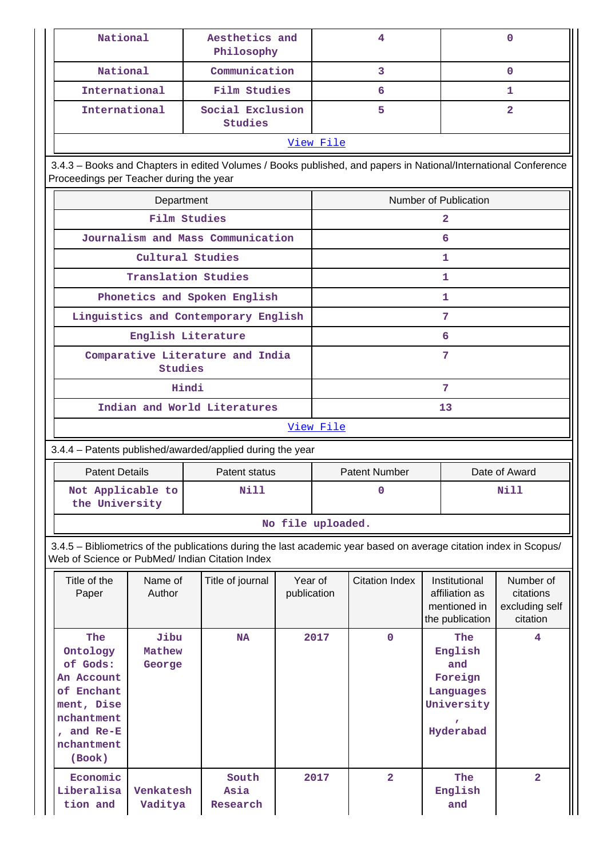| <b>National</b>                                                                                                                                                       |                          | Aesthetics and<br>Philosophy         |                        |                   | 4                     |  |                                                                          | $\Omega$                                             |
|-----------------------------------------------------------------------------------------------------------------------------------------------------------------------|--------------------------|--------------------------------------|------------------------|-------------------|-----------------------|--|--------------------------------------------------------------------------|------------------------------------------------------|
| National                                                                                                                                                              |                          | Communication                        |                        |                   | 3                     |  |                                                                          | $\Omega$                                             |
| International                                                                                                                                                         |                          | Film Studies                         |                        | 6                 |                       |  |                                                                          | 1                                                    |
| International                                                                                                                                                         |                          | Social Exclusion<br>Studies          |                        |                   | 5                     |  |                                                                          | $\overline{2}$                                       |
|                                                                                                                                                                       |                          |                                      |                        | View File         |                       |  |                                                                          |                                                      |
| 3.4.3 - Books and Chapters in edited Volumes / Books published, and papers in National/International Conference<br>Proceedings per Teacher during the year            |                          |                                      |                        |                   |                       |  |                                                                          |                                                      |
|                                                                                                                                                                       | Department               |                                      |                        |                   |                       |  | Number of Publication                                                    |                                                      |
|                                                                                                                                                                       | Film Studies             |                                      |                        |                   |                       |  | $\mathbf{z}$                                                             |                                                      |
|                                                                                                                                                                       |                          | Journalism and Mass Communication    |                        |                   |                       |  | 6                                                                        |                                                      |
|                                                                                                                                                                       | Cultural Studies         |                                      |                        |                   |                       |  | 1                                                                        |                                                      |
|                                                                                                                                                                       | Translation Studies      |                                      |                        |                   |                       |  | 1                                                                        |                                                      |
|                                                                                                                                                                       |                          | Phonetics and Spoken English         |                        |                   |                       |  | 1                                                                        |                                                      |
|                                                                                                                                                                       |                          | Linguistics and Contemporary English |                        |                   |                       |  | 7                                                                        |                                                      |
|                                                                                                                                                                       | English Literature       |                                      |                        |                   |                       |  | 6                                                                        |                                                      |
|                                                                                                                                                                       | <b>Studies</b>           | Comparative Literature and India     |                        | 7                 |                       |  |                                                                          |                                                      |
|                                                                                                                                                                       | Hindi<br>7               |                                      |                        |                   |                       |  |                                                                          |                                                      |
| Indian and World Literatures<br>13                                                                                                                                    |                          |                                      |                        |                   |                       |  |                                                                          |                                                      |
|                                                                                                                                                                       |                          |                                      |                        | View File         |                       |  |                                                                          |                                                      |
| 3.4.4 - Patents published/awarded/applied during the year                                                                                                             |                          |                                      |                        |                   |                       |  |                                                                          |                                                      |
| <b>Patent Details</b>                                                                                                                                                 |                          | Patent status                        |                        |                   | <b>Patent Number</b>  |  | Date of Award                                                            |                                                      |
| Not Applicable to<br>the University                                                                                                                                   |                          | Nill                                 |                        |                   | $\mathbf 0$           |  |                                                                          | <b>Nill</b>                                          |
|                                                                                                                                                                       |                          |                                      |                        | No file uploaded. |                       |  |                                                                          |                                                      |
| 3.4.5 - Bibliometrics of the publications during the last academic year based on average citation index in Scopus/<br>Web of Science or PubMed/ Indian Citation Index |                          |                                      |                        |                   |                       |  |                                                                          |                                                      |
| Title of the<br>Paper                                                                                                                                                 | Name of<br>Author        | Title of journal                     | Year of<br>publication |                   | <b>Citation Index</b> |  | Institutional<br>affiliation as<br>mentioned in<br>the publication       | Number of<br>citations<br>excluding self<br>citation |
| The<br>Ontology<br>of Gods:<br>An Account<br>of Enchant<br>ment, Dise<br>nchantment<br>, and Re-E<br>nchantment<br>(Book)                                             | Jibu<br>Mathew<br>George | <b>NA</b>                            |                        | 2017              | $\mathbf 0$           |  | The<br>English<br>and<br>Foreign<br>Languages<br>University<br>Hyderabad | 4                                                    |
| Economic<br>Liberalisa<br>tion and                                                                                                                                    | Venkatesh<br>Vaditya     | South<br>Asia<br>Research            |                        | 2017              | $\overline{2}$        |  | The<br>English<br>and                                                    | $\overline{2}$                                       |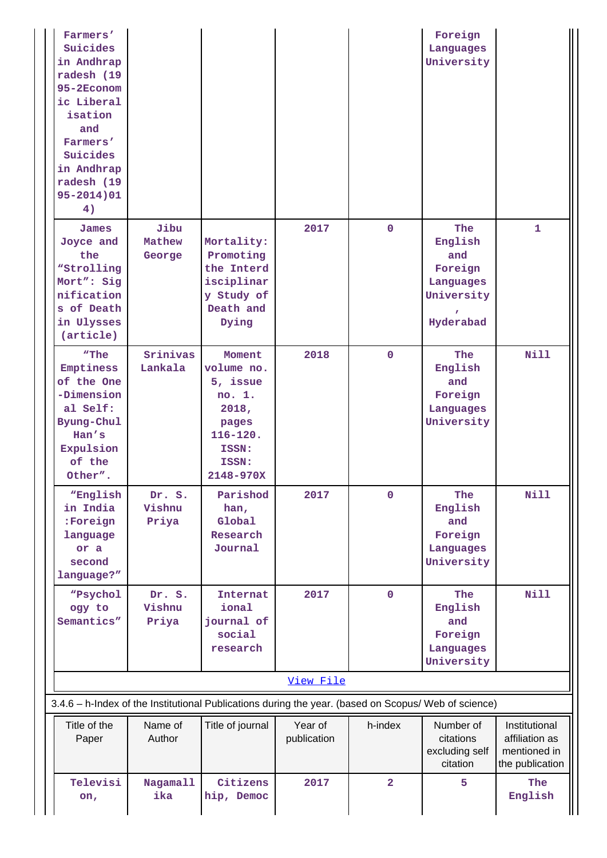| Farmers'<br>Suicides<br>in Andhrap<br>radesh (19<br>95-2Econom<br>ic Liberal<br>isation<br>and<br>Farmers'<br>Suicides<br>in Andhrap<br>radesh (19<br>$95 - 2014)01$<br>4) |                           |                                                                                                             |                        |                | Foreign<br>Languages<br>University                                       |                                                                    |
|----------------------------------------------------------------------------------------------------------------------------------------------------------------------------|---------------------------|-------------------------------------------------------------------------------------------------------------|------------------------|----------------|--------------------------------------------------------------------------|--------------------------------------------------------------------|
| James<br>Joyce and<br>the<br>"Strolling<br>Mort": Sig<br>nification<br>s of Death<br>in Ulysses<br>(article)                                                               | Jibu<br>Mathew<br>George  | Mortality:<br>Promoting<br>the Interd<br>isciplinar<br>y Study of<br>Death and<br>Dying                     | 2017                   | $\mathbf 0$    | The<br>English<br>and<br>Foreign<br>Languages<br>University<br>Hyderabad | $\mathbf{1}$                                                       |
| "The<br>Emptiness<br>of the One<br>-Dimension<br>al Self:<br>Byung-Chul<br>Han's<br>Expulsion<br>of the<br>Other".                                                         | Srinivas<br>Lankala       | Moment<br>volume no.<br>5, issue<br>no. 1.<br>2018,<br>pages<br>$116 - 120.$<br>ISSN:<br>ISSN:<br>2148-970X | 2018                   | $\mathbf 0$    | The<br>English<br>and<br>Foreign<br>Languages<br>University              | <b>Nill</b>                                                        |
| "English<br>in India<br>:Foreign<br>language<br>or a<br>second<br>language?"                                                                                               | Dr. S.<br>Vishnu<br>Priya | Parishod<br>han,<br>Global<br>Research<br>Journal                                                           | 2017                   | $\overline{0}$ | The<br>English<br>and<br>Foreign<br>Languages<br>University              | <b>Nill</b>                                                        |
| "Psychol<br>ogy to<br>Semantics"                                                                                                                                           | Dr. S.<br>Vishnu<br>Priya | Internat<br>ional<br>journal of<br>social<br>research                                                       | 2017                   | $\mathbf 0$    | The<br>English<br>and<br>Foreign<br>Languages<br>University              | <b>Nill</b>                                                        |
|                                                                                                                                                                            |                           |                                                                                                             | View File              |                |                                                                          |                                                                    |
| 3.4.6 - h-Index of the Institutional Publications during the year. (based on Scopus/ Web of science)<br>Title of the<br>Paper                                              | Name of<br>Author         | Title of journal                                                                                            | Year of<br>publication | h-index        | Number of<br>citations<br>excluding self<br>citation                     | Institutional<br>affiliation as<br>mentioned in<br>the publication |
| Televisi<br>on,                                                                                                                                                            | <b>Nagamall</b><br>ika    | Citizens<br>hip, Democ                                                                                      | 2017                   | $\overline{2}$ | 5                                                                        | The<br>English                                                     |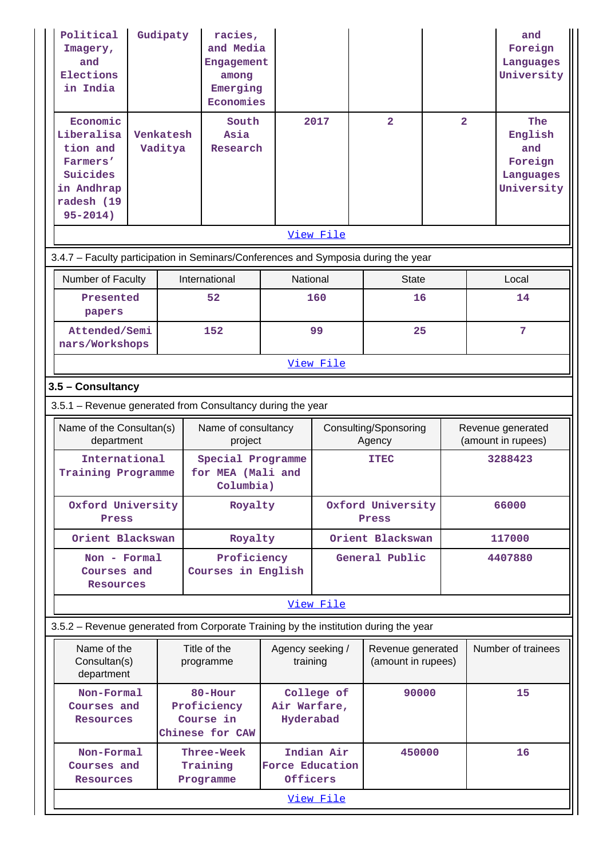| Political<br>Imagery,<br>and<br>Elections<br>in India<br>Economic                           | Gudipaty             |  | racies,<br>and Media<br>Engagement<br>among<br>Emerging<br>Economies<br>South |                              | 2017       | $\overline{2}$                          | $\overline{2}$ |  | and<br>Foreign<br>Languages<br>University<br>The     |
|---------------------------------------------------------------------------------------------|----------------------|--|-------------------------------------------------------------------------------|------------------------------|------------|-----------------------------------------|----------------|--|------------------------------------------------------|
| Liberalisa<br>tion and<br>Farmers'<br>Suicides<br>in Andhrap<br>radesh (19<br>$95 - 2014$ ) | Venkatesh<br>Vaditya |  | Asia<br>Research                                                              |                              |            |                                         |                |  | English<br>and<br>Foreign<br>Languages<br>University |
|                                                                                             |                      |  |                                                                               |                              | View File  |                                         |                |  |                                                      |
| 3.4.7 - Faculty participation in Seminars/Conferences and Symposia during the year          |                      |  |                                                                               |                              |            |                                         |                |  |                                                      |
| Number of Faculty                                                                           |                      |  | International                                                                 | National                     |            | <b>State</b>                            |                |  | Local                                                |
| Presented<br>papers                                                                         |                      |  | 52                                                                            |                              | 160        | 16                                      |                |  | 14                                                   |
| Attended/Semi<br>nars/Workshops                                                             |                      |  | 152                                                                           |                              | 99         | 25                                      |                |  | 7                                                    |
|                                                                                             |                      |  |                                                                               |                              | View File  |                                         |                |  |                                                      |
|                                                                                             | 3.5 - Consultancy    |  |                                                                               |                              |            |                                         |                |  |                                                      |
| 3.5.1 - Revenue generated from Consultancy during the year                                  |                      |  |                                                                               |                              |            |                                         |                |  |                                                      |
| Name of the Consultan(s)<br>department                                                      |                      |  | Name of consultancy<br>project                                                |                              |            | Consulting/Sponsoring<br>Agency         |                |  | Revenue generated<br>(amount in rupees)              |
| International<br>Training Programme                                                         |                      |  | Special Programme<br>for MEA (Mali and                                        |                              |            | 3288423<br><b>ITEC</b>                  |                |  |                                                      |
|                                                                                             |                      |  | Columbia)                                                                     |                              |            |                                         |                |  |                                                      |
| Oxford University<br>Press                                                                  |                      |  | Royalty                                                                       |                              |            | Oxford University<br>Press              |                |  | 66000                                                |
| Orient Blackswan                                                                            |                      |  | Royalty                                                                       |                              |            | Orient Blackswan                        |                |  | 117000                                               |
| Non - Formal<br>Courses and<br>Resources                                                    |                      |  | Proficiency<br>Courses in English                                             |                              |            | General Public                          |                |  | 4407880                                              |
|                                                                                             |                      |  |                                                                               |                              | View File  |                                         |                |  |                                                      |
| 3.5.2 - Revenue generated from Corporate Training by the institution during the year        |                      |  |                                                                               |                              |            |                                         |                |  |                                                      |
| Name of the<br>Consultan(s)<br>department                                                   |                      |  | Title of the<br>programme                                                     | Agency seeking /<br>training |            | Revenue generated<br>(amount in rupees) |                |  | Number of trainees                                   |
| Non-Formal<br>Courses and<br>Resources                                                      |                      |  | 80-Hour<br>Proficiency<br>Course in<br>Chinese for CAW                        | Air Warfare,<br>Hyderabad    | College of | 90000                                   |                |  | 15                                                   |
| Non-Formal<br>Courses and<br>Resources                                                      |                      |  | Three-Week<br>Training<br>Programme                                           | Force Education<br>Officers  | Indian Air | 450000                                  |                |  | 16                                                   |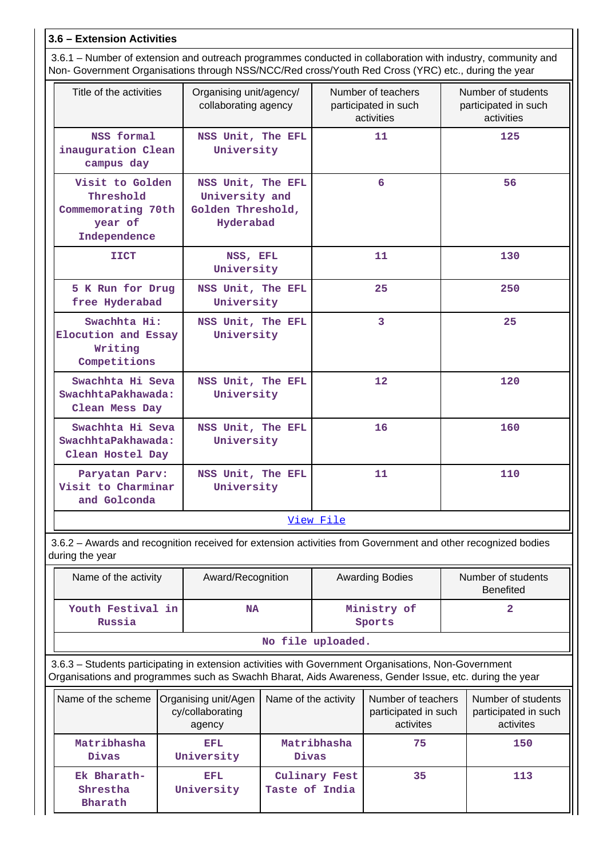## **3.6 – Extension Activities**

 3.6.1 – Number of extension and outreach programmes conducted in collaboration with industry, community and Non- Government Organisations through NSS/NCC/Red cross/Youth Red Cross (YRC) etc., during the year

| Title of the activities                                                                                      | Organising unit/agency/<br>collaborating agency                       | Number of teachers<br>participated in such<br>activities | Number of students<br>participated in such<br>activities |
|--------------------------------------------------------------------------------------------------------------|-----------------------------------------------------------------------|----------------------------------------------------------|----------------------------------------------------------|
| NSS formal<br>inauguration Clean<br>campus day                                                               | NSS Unit, The EFL<br>University                                       | 11                                                       | 125                                                      |
| Visit to Golden<br>Threshold<br>Commemorating 70th<br>year of<br>Independence                                | NSS Unit, The EFL<br>University and<br>Golden Threshold,<br>Hyderabad | 6                                                        | 56                                                       |
| <b>IICT</b>                                                                                                  | NSS, EFL<br>University                                                | 11                                                       | 130                                                      |
| 5 K Run for Drug<br>free Hyderabad                                                                           | NSS Unit, The EFL<br>University                                       | 25                                                       | 250                                                      |
| Swachhta Hi:<br>Elocution and Essay<br>Writing<br>Competitions                                               | NSS Unit, The EFL<br>University                                       | $\overline{3}$                                           | 25                                                       |
| Swachhta Hi Seva<br>SwachhtaPakhawada:<br>Clean Mess Day                                                     | NSS Unit, The EFL<br>University                                       | 12                                                       | 120                                                      |
| Swachhta Hi Seva<br>SwachhtaPakhawada:<br>Clean Hostel Day                                                   | NSS Unit, The EFL<br>University                                       | 16                                                       | 160                                                      |
| Paryatan Parv:<br>Visit to Charminar<br>and Golconda                                                         | NSS Unit, The EFL<br>University                                       | 11                                                       | 110                                                      |
|                                                                                                              |                                                                       | View File                                                |                                                          |
| 3.6.2 – Awards and recognition received for extension activities from Government and other recognized bodies |                                                                       |                                                          |                                                          |

 3.6.2 – Awards and recognition received for extension activities from Government and other recognized bodies during the year

| Name of the activity        | Award/Recognition | <b>Awarding Bodies</b> | Number of students<br><b>Benefited</b> |
|-----------------------------|-------------------|------------------------|----------------------------------------|
| Youth Festival in<br>Russia | NA                | Ministry of<br>Sports  |                                        |
|                             |                   |                        |                                        |

**No file uploaded.**

 3.6.3 – Students participating in extension activities with Government Organisations, Non-Government Organisations and programmes such as Swachh Bharat, Aids Awareness, Gender Issue, etc. during the year

| Name of the scheme                 | Organising unit/Agen<br>cy/collaborating<br>agency | Name of the activity            | Number of teachers<br>participated in such<br>activites | Number of students<br>participated in such<br>activites |
|------------------------------------|----------------------------------------------------|---------------------------------|---------------------------------------------------------|---------------------------------------------------------|
| Matribhasha<br>Divas               | EFL.<br>University                                 | Matribhasha<br>Divas            | 75                                                      | 150                                                     |
| Ek Bharath-<br>Shrestha<br>Bharath | EFL.<br>University                                 | Culinary Fest<br>Taste of India | 35                                                      | 113                                                     |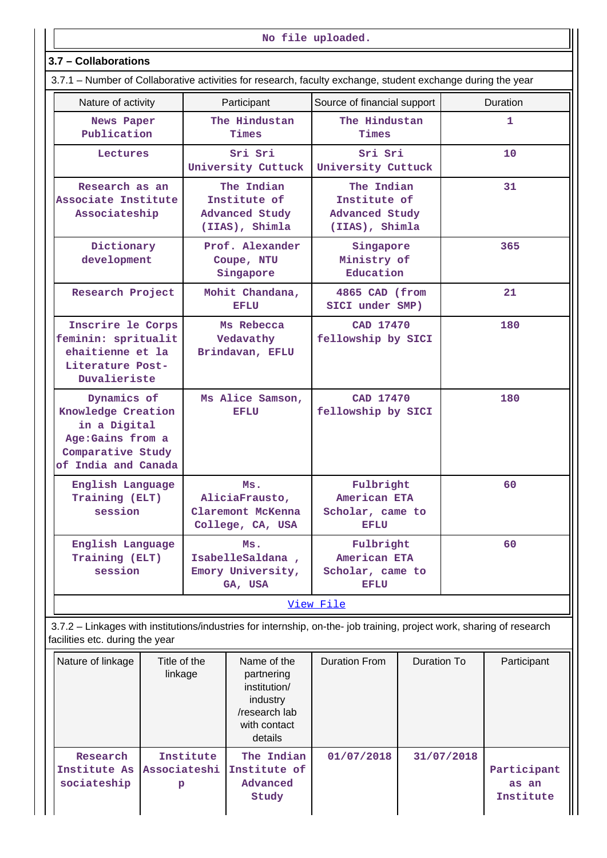**No file uploaded.**

## **3.7 – Collaborations**

| Nature of activity                                                                                                 | Participant                                                    | Source of financial support                                           | Duration |
|--------------------------------------------------------------------------------------------------------------------|----------------------------------------------------------------|-----------------------------------------------------------------------|----------|
| News Paper<br>Publication                                                                                          | The Hindustan<br>Times                                         | The Hindustan<br>Times                                                | 1        |
| Lectures                                                                                                           | Sri Sri<br>University Cuttuck                                  | Sri Sri<br>University Cuttuck                                         | 10       |
| Research as an<br>Associate Institute<br>Associateship                                                             | The Indian<br>Institute of<br>Advanced Study<br>(IIAS), Shimla | The Indian<br>Institute of<br><b>Advanced Study</b><br>(IIAS), Shimla | 31       |
| Dictionary<br>development                                                                                          | Prof. Alexander<br>Coupe, NTU<br>Singapore                     | Singapore<br>Ministry of<br>Education                                 | 365      |
| Research Project                                                                                                   | Mohit Chandana,<br><b>EFLU</b>                                 | 4865 CAD (from<br>SICI under SMP)                                     | 21       |
| Inscrire le Corps<br>feminin: spritualit<br>ehaitienne et la<br>Literature Post-<br>Duvalieriste                   | Ms Rebecca<br>Vedavathy<br>Brindavan, EFLU                     | CAD 17470<br>fellowship by SICI                                       | 180      |
| Dynamics of<br>Knowledge Creation<br>in a Digital<br>Age: Gains from a<br>Comparative Study<br>of India and Canada | Ms Alice Samson,<br><b>EFLU</b>                                | CAD 17470<br>fellowship by SICI                                       | 180      |
| English Language<br>Training (ELT)<br>session                                                                      | Ms.<br>AliciaFrausto,<br>Claremont McKenna<br>College, CA, USA | Fulbright<br>American ETA<br>Scholar, came to<br><b>EFLU</b>          | 60       |
| English Language<br>Training (ELT)<br>session                                                                      | Ms.<br>IsabelleSaldana,<br>Emory University,<br>GA, USA        | Fulbright<br>American ETA<br>Scholar, came to<br><b>EFLU</b>          | 60       |

 3.7.2 – Linkages with institutions/industries for internship, on-the- job training, project work, sharing of research facilities etc. during the year

| Nature of linkage                       | Title of the<br>linkage        | Name of the<br>partnering<br>institution/<br>industry<br>/research lab<br>with contact<br>details | <b>Duration From</b> | Duration To | Participant                       |
|-----------------------------------------|--------------------------------|---------------------------------------------------------------------------------------------------|----------------------|-------------|-----------------------------------|
| Research<br>Institute As<br>sociateship | Institute<br>Associateshi<br>p | The Indian<br>Institute of<br>Advanced<br>Study                                                   | 01/07/2018           | 31/07/2018  | Participant<br>as an<br>Institute |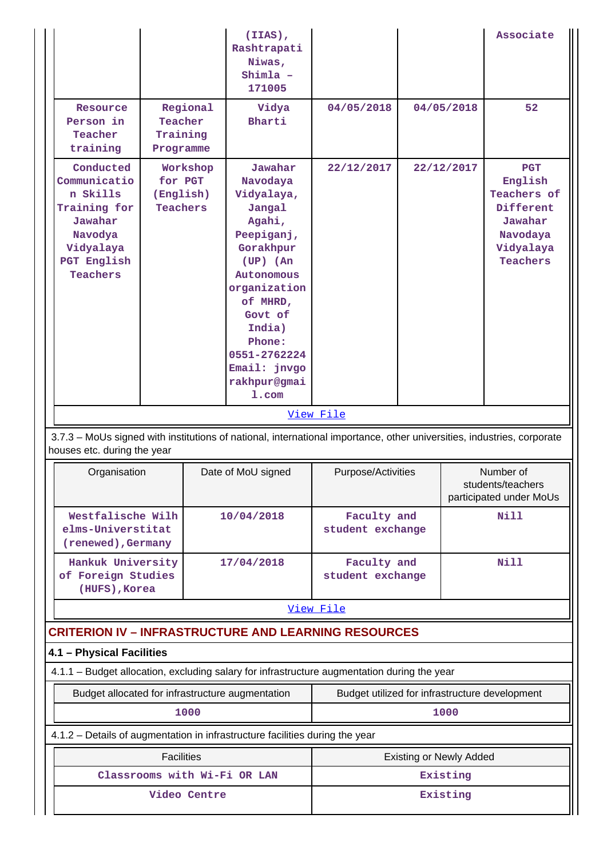|                                                                                                                            |                                                     |          | (IIAS),<br>Rashtrapati<br>Niwas,<br>Shimla -<br>171005                                                                                                                                                                                 |                                 |            |                                            | Associate                                                                                         |  |
|----------------------------------------------------------------------------------------------------------------------------|-----------------------------------------------------|----------|----------------------------------------------------------------------------------------------------------------------------------------------------------------------------------------------------------------------------------------|---------------------------------|------------|--------------------------------------------|---------------------------------------------------------------------------------------------------|--|
| Resource<br>Person in<br>Teacher<br>training                                                                               | Teacher<br>Training<br>Programme                    | Regional | Vidya<br>Bharti                                                                                                                                                                                                                        | 04/05/2018                      |            | 04/05/2018                                 | 52                                                                                                |  |
| Conducted<br>Communicatio<br>n Skills<br>Training for<br>Jawahar<br>Navodya<br>Vidyalaya<br>PGT English<br><b>Teachers</b> | Workshop<br>for PGT<br>(English)<br><b>Teachers</b> |          | Jawahar<br>Navodaya<br>Vidyalaya,<br>Jangal<br>Agahi,<br>Peepiganj,<br>Gorakhpur<br>$(UP)$ $(An)$<br>Autonomous<br>organization<br>of MHRD,<br>Govt of<br>India)<br>Phone:<br>0551-2762224<br>Email: jnvgo<br>rakhpur@gmai<br>$1.$ com | 22/12/2017<br>View File         | 22/12/2017 |                                            | <b>PGT</b><br>English<br>Teachers of<br>Different<br>Jawahar<br>Navodaya<br>Vidyalaya<br>Teachers |  |
| 3.7.3 - MoUs signed with institutions of national, international importance, other universities, industries, corporate     |                                                     |          |                                                                                                                                                                                                                                        |                                 |            |                                            |                                                                                                   |  |
| houses etc. during the year                                                                                                |                                                     |          |                                                                                                                                                                                                                                        |                                 |            |                                            |                                                                                                   |  |
| Organisation                                                                                                               |                                                     |          | Date of MoU signed                                                                                                                                                                                                                     | Purpose/Activities              |            |                                            | Number of<br>students/teachers<br>participated under MoUs                                         |  |
| Westfalische Wilh<br>elms-Universtitat<br>(renewed), Germany                                                               |                                                     |          | 10/04/2018                                                                                                                                                                                                                             | Faculty and<br>student exchange |            |                                            | Nill                                                                                              |  |
| Hankuk University<br>of Foreign Studies<br>(HUFS), Korea                                                                   |                                                     |          | 17/04/2018                                                                                                                                                                                                                             | Faculty and<br>student exchange |            |                                            | Nill                                                                                              |  |
|                                                                                                                            |                                                     |          |                                                                                                                                                                                                                                        | View File                       |            |                                            |                                                                                                   |  |
| <b>CRITERION IV - INFRASTRUCTURE AND LEARNING RESOURCES</b>                                                                |                                                     |          |                                                                                                                                                                                                                                        |                                 |            |                                            |                                                                                                   |  |
| 4.1 - Physical Facilities                                                                                                  |                                                     |          |                                                                                                                                                                                                                                        |                                 |            |                                            |                                                                                                   |  |
| 4.1.1 - Budget allocation, excluding salary for infrastructure augmentation during the year                                |                                                     |          |                                                                                                                                                                                                                                        |                                 |            |                                            |                                                                                                   |  |
| Budget allocated for infrastructure augmentation<br>1000                                                                   |                                                     |          | Budget utilized for infrastructure development                                                                                                                                                                                         |                                 |            |                                            |                                                                                                   |  |
|                                                                                                                            |                                                     |          |                                                                                                                                                                                                                                        |                                 |            | 1000                                       |                                                                                                   |  |
| 4.1.2 - Details of augmentation in infrastructure facilities during the year                                               |                                                     |          |                                                                                                                                                                                                                                        |                                 |            |                                            |                                                                                                   |  |
|                                                                                                                            | <b>Facilities</b>                                   |          | Classrooms with Wi-Fi OR LAN                                                                                                                                                                                                           |                                 |            | <b>Existing or Newly Added</b><br>Existing |                                                                                                   |  |
|                                                                                                                            |                                                     |          |                                                                                                                                                                                                                                        |                                 |            | Existing                                   |                                                                                                   |  |
|                                                                                                                            | Video Centre                                        |          |                                                                                                                                                                                                                                        |                                 |            |                                            |                                                                                                   |  |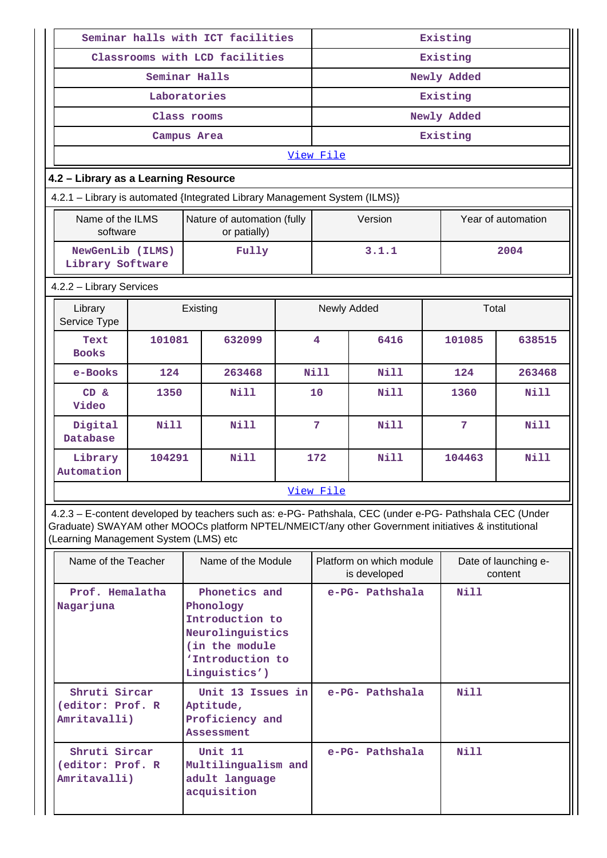|                                                                             |        | Seminar halls with ICT facilities                                                                                                                                                                              |  |                 |                                          | Existing    |       |                                 |
|-----------------------------------------------------------------------------|--------|----------------------------------------------------------------------------------------------------------------------------------------------------------------------------------------------------------------|--|-----------------|------------------------------------------|-------------|-------|---------------------------------|
|                                                                             |        | Classrooms with LCD facilities                                                                                                                                                                                 |  |                 |                                          | Existing    |       |                                 |
|                                                                             |        | Seminar Halls                                                                                                                                                                                                  |  | Newly Added     |                                          |             |       |                                 |
|                                                                             |        | Laboratories                                                                                                                                                                                                   |  | Existing        |                                          |             |       |                                 |
|                                                                             |        | Class rooms                                                                                                                                                                                                    |  |                 |                                          | Newly Added |       |                                 |
|                                                                             |        | Campus Area                                                                                                                                                                                                    |  |                 |                                          | Existing    |       |                                 |
|                                                                             |        |                                                                                                                                                                                                                |  | View File       |                                          |             |       |                                 |
| 4.2 - Library as a Learning Resource                                        |        |                                                                                                                                                                                                                |  |                 |                                          |             |       |                                 |
|                                                                             |        | 4.2.1 - Library is automated {Integrated Library Management System (ILMS)}                                                                                                                                     |  |                 |                                          |             |       |                                 |
| Name of the ILMS<br>Nature of automation (fully<br>software<br>or patially) |        |                                                                                                                                                                                                                |  |                 | Version                                  |             |       | Year of automation              |
| NewGenLib (ILMS)<br>Library Software                                        |        | Fully                                                                                                                                                                                                          |  |                 | 3.1.1                                    |             |       | 2004                            |
| 4.2.2 - Library Services                                                    |        |                                                                                                                                                                                                                |  |                 |                                          |             |       |                                 |
| Library<br>Existing<br>Service Type                                         |        |                                                                                                                                                                                                                |  |                 | Newly Added                              |             | Total |                                 |
| Text<br><b>Books</b>                                                        | 101081 | 632099                                                                                                                                                                                                         |  | 4               | 6416                                     | 101085      |       | 638515                          |
| e-Books                                                                     | 124    | 263468                                                                                                                                                                                                         |  | Nill            | Nill                                     | 124         |       | 263468                          |
| $CD \&$<br>Video                                                            | 1350   | Nill                                                                                                                                                                                                           |  | 10              | Nill                                     | 1360        |       | Nill                            |
| Digital<br>Database                                                         | N11    | Nill                                                                                                                                                                                                           |  | $7\phantom{.0}$ | Nill                                     | 7           |       | Nill                            |
| Library<br>Automation                                                       | 104291 | Nill                                                                                                                                                                                                           |  | 172             | Nill                                     | 104463      |       | Nill                            |
|                                                                             |        |                                                                                                                                                                                                                |  | View File       |                                          |             |       |                                 |
| (Learning Management System (LMS) etc                                       |        | 4.2.3 - E-content developed by teachers such as: e-PG- Pathshala, CEC (under e-PG- Pathshala CEC (Under<br>Graduate) SWAYAM other MOOCs platform NPTEL/NMEICT/any other Government initiatives & institutional |  |                 |                                          |             |       |                                 |
| Name of the Teacher                                                         |        | Name of the Module                                                                                                                                                                                             |  |                 | Platform on which module<br>is developed |             |       | Date of launching e-<br>content |
| Prof. Hemalatha<br>Nagarjuna                                                |        | Phonetics and<br>Phonology<br>Introduction to<br>Neurolinguistics<br>(in the module<br>'Introduction to<br>Linguistics')                                                                                       |  |                 | e-PG- Pathshala                          | Nill        |       |                                 |
| Shruti Sircar<br>(editor: Prof. R<br>Amritavalli)                           |        | Unit 13 Issues in<br>Aptitude,<br>Proficiency and<br><b>Assessment</b>                                                                                                                                         |  |                 | e-PG- Pathshala                          | Nill        |       |                                 |

 **Shruti Sircar (editor: Prof. R Amritavalli)**

 **Unit 11**

**Multilingualism and adult language acquisition**

 **e-PG- Pathshala Nill**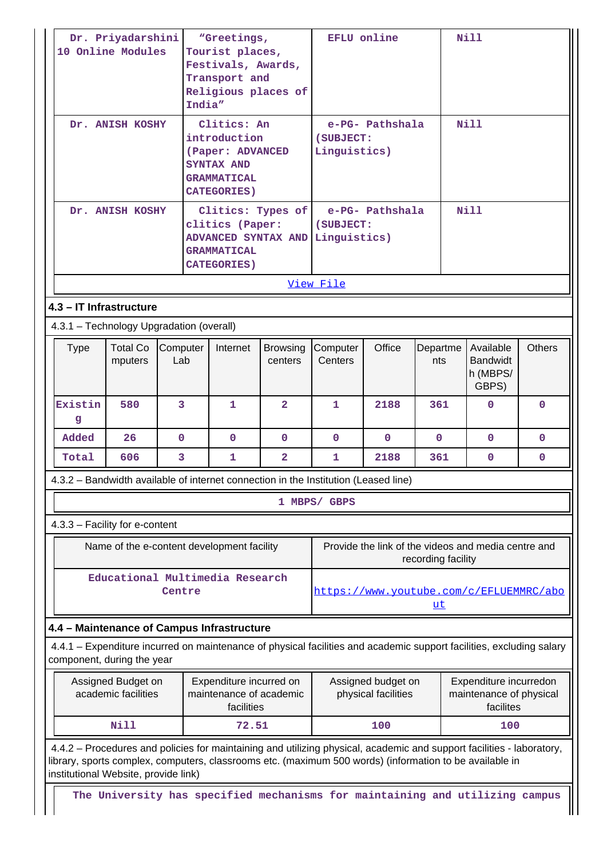|                                                                                                                                                    | Dr. Priyadarshini<br>10 Online Modules |                                                                                     | "Greetings,<br>Tourist places,<br>Festivals, Awards,<br>Transport and<br>Religious places of<br>India"    |                            |                                                                                                             | <b>EFLU</b> online                           |                 | <b>Nill</b>                                                                                                                                                                                                                      |               |
|----------------------------------------------------------------------------------------------------------------------------------------------------|----------------------------------------|-------------------------------------------------------------------------------------|-----------------------------------------------------------------------------------------------------------|----------------------------|-------------------------------------------------------------------------------------------------------------|----------------------------------------------|-----------------|----------------------------------------------------------------------------------------------------------------------------------------------------------------------------------------------------------------------------------|---------------|
| Dr. ANISH KOSHY                                                                                                                                    |                                        |                                                                                     | Clitics: An<br>introduction<br>(Paper: ADVANCED<br>SYNTAX AND<br><b>GRAMMATICAL</b><br><b>CATEGORIES)</b> |                            |                                                                                                             | e-PG- Pathshala<br>(SUBJECT:<br>Linguistics) |                 |                                                                                                                                                                                                                                  |               |
| Dr. ANISH KOSHY                                                                                                                                    |                                        |                                                                                     | clitics (Paper:<br><b>GRAMMATICAL</b><br><b>CATEGORIES)</b>                                               | Clitics: Types of          | (SUBJECT:<br>ADVANCED SYNTAX AND Linguistics)                                                               | e-PG- Pathshala                              |                 | Nill                                                                                                                                                                                                                             |               |
|                                                                                                                                                    |                                        |                                                                                     |                                                                                                           |                            | View File                                                                                                   |                                              |                 |                                                                                                                                                                                                                                  |               |
|                                                                                                                                                    | 4.3 - IT Infrastructure                |                                                                                     |                                                                                                           |                            |                                                                                                             |                                              |                 |                                                                                                                                                                                                                                  |               |
|                                                                                                                                                    |                                        | 4.3.1 - Technology Upgradation (overall)                                            |                                                                                                           |                            |                                                                                                             |                                              |                 |                                                                                                                                                                                                                                  |               |
| <b>Type</b>                                                                                                                                        | <b>Total Co</b><br>mputers             | Computer<br>Lab                                                                     | Internet                                                                                                  | <b>Browsing</b><br>centers | Computer<br>Centers                                                                                         | Office                                       | Departme<br>nts | Available<br><b>Bandwidt</b><br>h (MBPS/<br>GBPS)                                                                                                                                                                                | <b>Others</b> |
| Existin<br>g                                                                                                                                       | 580                                    | 3                                                                                   | $\mathbf{1}$                                                                                              | $\overline{2}$             | 1.                                                                                                          | 2188                                         | 361             | $\Omega$                                                                                                                                                                                                                         | $\Omega$      |
| Added                                                                                                                                              | 26                                     | 0                                                                                   | 0                                                                                                         | $\Omega$                   | 0                                                                                                           | 0                                            | $\mathbf{0}$    | $\mathbf{0}$                                                                                                                                                                                                                     | $\Omega$      |
| Total                                                                                                                                              | 606                                    | 3                                                                                   | 1                                                                                                         | $\mathbf{2}$               | 1                                                                                                           | 2188                                         | 361             | $\mathbf{0}$                                                                                                                                                                                                                     | $\mathbf 0$   |
|                                                                                                                                                    |                                        | 4.3.2 – Bandwidth available of internet connection in the Institution (Leased line) |                                                                                                           |                            |                                                                                                             |                                              |                 |                                                                                                                                                                                                                                  |               |
|                                                                                                                                                    |                                        |                                                                                     |                                                                                                           |                            | 1 MBPS/ GBPS                                                                                                |                                              |                 |                                                                                                                                                                                                                                  |               |
|                                                                                                                                                    | 4.3.3 - Facility for e-content         |                                                                                     |                                                                                                           |                            |                                                                                                             |                                              |                 |                                                                                                                                                                                                                                  |               |
|                                                                                                                                                    |                                        | Name of the e-content development facility                                          |                                                                                                           |                            | Provide the link of the videos and media centre and<br>recording facility                                   |                                              |                 |                                                                                                                                                                                                                                  |               |
|                                                                                                                                                    |                                        | Educational Multimedia Research<br>Centre                                           |                                                                                                           |                            |                                                                                                             |                                              | <u>ut</u>       | https://www.youtube.com/c/EFLUEMMRC/abo                                                                                                                                                                                          |               |
|                                                                                                                                                    |                                        | 4.4 - Maintenance of Campus Infrastructure                                          |                                                                                                           |                            |                                                                                                             |                                              |                 |                                                                                                                                                                                                                                  |               |
| 4.4.1 – Expenditure incurred on maintenance of physical facilities and academic support facilities, excluding salary<br>component, during the year |                                        |                                                                                     |                                                                                                           |                            |                                                                                                             |                                              |                 |                                                                                                                                                                                                                                  |               |
| Assigned Budget on<br>Expenditure incurred on<br>academic facilities<br>maintenance of academic<br>facilities                                      |                                        |                                                                                     |                                                                                                           |                            | Expenditure incurredon<br>Assigned budget on<br>maintenance of physical<br>physical facilities<br>facilites |                                              |                 |                                                                                                                                                                                                                                  |               |
|                                                                                                                                                    | <b>Nill</b>                            |                                                                                     | 72.51                                                                                                     |                            |                                                                                                             | 100                                          |                 | 100                                                                                                                                                                                                                              |               |
|                                                                                                                                                    | institutional Website, provide link)   |                                                                                     |                                                                                                           |                            |                                                                                                             |                                              |                 | 4.4.2 - Procedures and policies for maintaining and utilizing physical, academic and support facilities - laboratory,<br>library, sports complex, computers, classrooms etc. (maximum 500 words) (information to be available in |               |
|                                                                                                                                                    |                                        |                                                                                     |                                                                                                           |                            |                                                                                                             |                                              |                 | The University has specified mechanisms for maintaining and utilizing campus                                                                                                                                                     |               |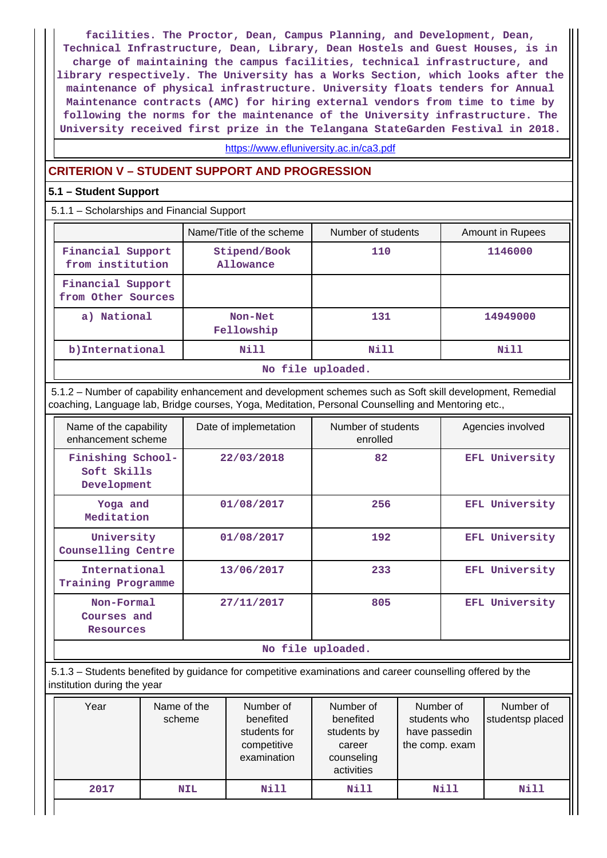**facilities. The Proctor, Dean, Campus Planning, and Development, Dean, Technical Infrastructure, Dean, Library, Dean Hostels and Guest Houses, is in charge of maintaining the campus facilities, technical infrastructure, and library respectively. The University has a Works Section, which looks after the maintenance of physical infrastructure. University floats tenders for Annual Maintenance contracts (AMC) for hiring external vendors from time to time by following the norms for the maintenance of the University infrastructure. The University received first prize in the Telangana StateGarden Festival in 2018.**

<https://www.efluniversity.ac.in/ca3.pdf>

### **CRITERION V – STUDENT SUPPORT AND PROGRESSION**

#### **5.1 – Student Support**

5.1.1 – Scholarships and Financial Support

|                                         | Name/Title of the scheme  | Number of students | <b>Amount in Rupees</b> |  |  |  |  |  |
|-----------------------------------------|---------------------------|--------------------|-------------------------|--|--|--|--|--|
| Financial Support<br>from institution   | Stipend/Book<br>Allowance | 110                | 1146000                 |  |  |  |  |  |
| Financial Support<br>from Other Sources |                           |                    |                         |  |  |  |  |  |
| a) National                             | Non-Net<br>Fellowship     | 131                | 14949000                |  |  |  |  |  |
| b) International                        | Nill                      | Nill               | Nill                    |  |  |  |  |  |
|                                         | No file uploaded.         |                    |                         |  |  |  |  |  |

 5.1.2 – Number of capability enhancement and development schemes such as Soft skill development, Remedial coaching, Language lab, Bridge courses, Yoga, Meditation, Personal Counselling and Mentoring etc.,

| Name of the capability<br>enhancement scheme    | Date of implemetation | Number of students<br>enrolled | Agencies involved |
|-------------------------------------------------|-----------------------|--------------------------------|-------------------|
| Finishing School-<br>Soft Skills<br>Development | 22/03/2018            | 82                             | EFL University    |
| Yoga and<br>Meditation                          | 01/08/2017            | 256                            | EFL University    |
| University<br>Counselling Centre                | 01/08/2017            | 192                            | EFL University    |
| International<br>Training Programme             | 13/06/2017            | 233                            | EFL University    |
| Non-Formal<br>Courses and<br><b>Resources</b>   | 27/11/2017            | 805                            | EFL University    |
|                                                 |                       | No file unloaded               |                   |

**No file uploaded.**

 5.1.3 – Students benefited by guidance for competitive examinations and career counselling offered by the institution during the year

| Year | Name of the<br>scheme | Number of<br>benefited<br>students for<br>competitive<br>examination | Number of<br>benefited<br>students by<br>career<br>counseling<br>activities | Number of<br>students who<br>have passedin<br>the comp. exam | Number of<br>studentsp placed |
|------|-----------------------|----------------------------------------------------------------------|-----------------------------------------------------------------------------|--------------------------------------------------------------|-------------------------------|
| 2017 | <b>NIL</b>            | Nill                                                                 | Nill                                                                        | Nill                                                         | Nill                          |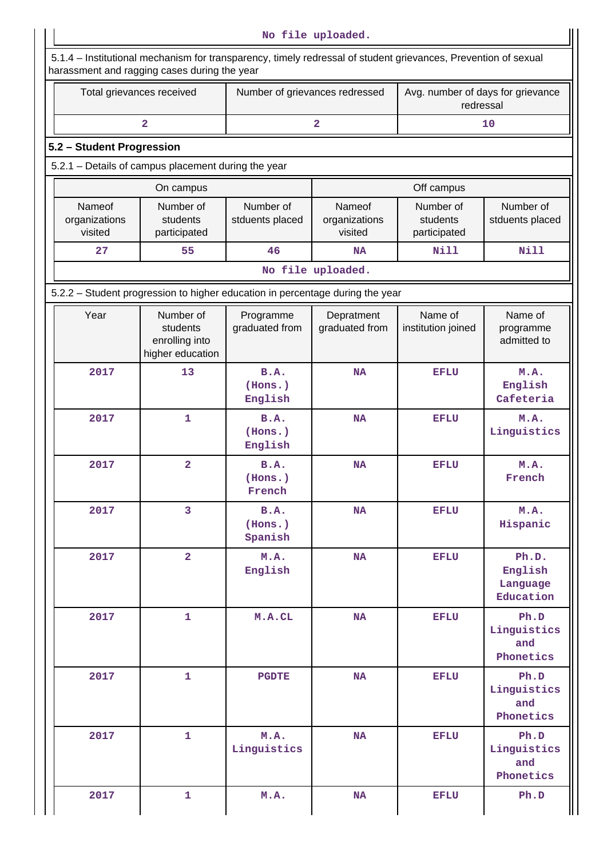|                                    | Total grievances received                                                     | Number of grievances redressed    |                                    | Avg. number of days for grievance<br>redressal |                                           |  |
|------------------------------------|-------------------------------------------------------------------------------|-----------------------------------|------------------------------------|------------------------------------------------|-------------------------------------------|--|
|                                    | $\overline{2}$                                                                |                                   | $\overline{a}$                     |                                                | 10                                        |  |
| 5.2 - Student Progression          |                                                                               |                                   |                                    |                                                |                                           |  |
|                                    | 5.2.1 - Details of campus placement during the year                           |                                   |                                    |                                                |                                           |  |
|                                    | On campus                                                                     |                                   |                                    | Off campus                                     |                                           |  |
| Nameof<br>organizations<br>visited | Number of<br>students<br>participated                                         | Number of<br>stduents placed      | Nameof<br>organizations<br>visited | Number of<br>students<br>participated          | Number of<br>stduents placed              |  |
| 27                                 | 55                                                                            | 46<br><b>NA</b>                   |                                    | <b>Nill</b>                                    | <b>Nill</b>                               |  |
|                                    |                                                                               |                                   | No file uploaded.                  |                                                |                                           |  |
|                                    | 5.2.2 - Student progression to higher education in percentage during the year |                                   |                                    |                                                |                                           |  |
| Year                               | Number of<br>students<br>enrolling into<br>higher education                   | Programme<br>graduated from       | Depratment<br>graduated from       | Name of<br>institution joined                  | Name of<br>programme<br>admitted to       |  |
| 2017                               | 13                                                                            | B.A.<br>(Hons.)<br>English        | <b>NA</b>                          | <b>EFLU</b>                                    | M.A.<br>English<br>Cafeteria              |  |
| 2017                               | $\mathbf{1}$                                                                  | B.A.<br>(Hons.)<br>English        | <b>NA</b>                          | EFLU                                           | M.A.<br>Linguistics                       |  |
| 2017                               | $\overline{\mathbf{2}}$                                                       | B.A.<br>(Hons.)<br>French         | <b>NA</b>                          | <b>EFLU</b>                                    | M.A.<br>French                            |  |
| 2017                               | 3                                                                             | <b>B.A.</b><br>(Hons.)<br>Spanish | <b>NA</b>                          | <b>EFLU</b>                                    | M.A.<br>Hispanic                          |  |
| 2017                               | $\overline{2}$                                                                | M.A.<br>English                   | <b>NA</b>                          | <b>EFLU</b>                                    | Ph.D.<br>English<br>Language<br>Education |  |
| 2017                               | $\mathbf{1}$                                                                  | M.A.CL                            | <b>NA</b>                          | <b>EFLU</b>                                    | Ph.D<br>Linguistics<br>and<br>Phonetics   |  |
| 2017                               | $\mathbf{1}$                                                                  | <b>PGDTE</b>                      | <b>NA</b>                          | <b>EFLU</b>                                    | Ph.D<br>Linguistics<br>and<br>Phonetics   |  |
| 2017                               | $\mathbf{1}$                                                                  | M.A.<br>Linguistics               | <b>NA</b>                          | <b>EFLU</b>                                    | Ph.D<br>Linguistics<br>and<br>Phonetics   |  |
|                                    |                                                                               |                                   |                                    |                                                |                                           |  |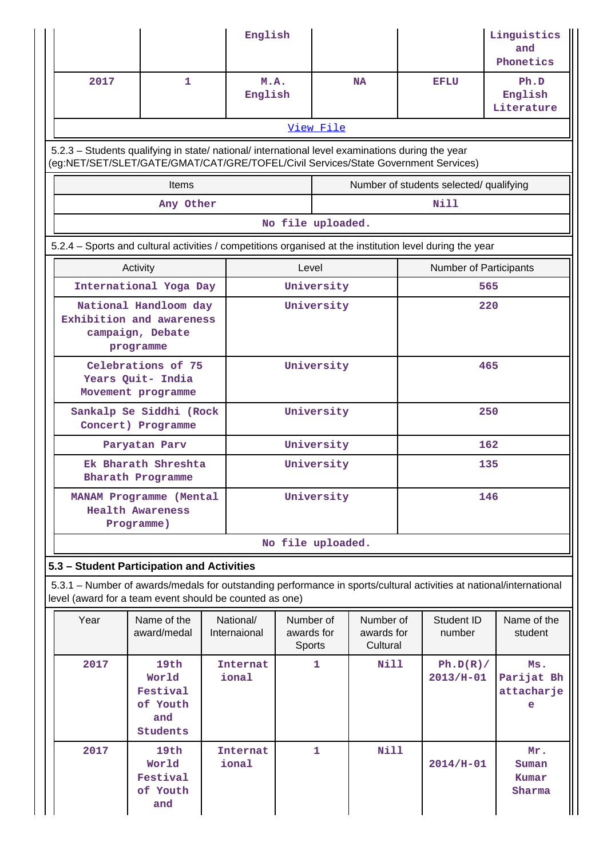|                                                                                                                                                                                        |                                                                  |  | English                   |                                   |              |                                     |  |                                         | Linguistics<br>and<br>Phonetics      |
|----------------------------------------------------------------------------------------------------------------------------------------------------------------------------------------|------------------------------------------------------------------|--|---------------------------|-----------------------------------|--------------|-------------------------------------|--|-----------------------------------------|--------------------------------------|
| 2017                                                                                                                                                                                   | $\mathbf{1}$                                                     |  | M.A.<br>English           |                                   |              | <b>NA</b>                           |  | <b>EFLU</b>                             | Ph.D<br>English<br>Literature        |
|                                                                                                                                                                                        |                                                                  |  |                           |                                   | View File    |                                     |  |                                         |                                      |
| 5.2.3 - Students qualifying in state/ national/ international level examinations during the year<br>(eg:NET/SET/SLET/GATE/GMAT/CAT/GRE/TOFEL/Civil Services/State Government Services) |                                                                  |  |                           |                                   |              |                                     |  |                                         |                                      |
|                                                                                                                                                                                        | Items                                                            |  |                           |                                   |              |                                     |  | Number of students selected/ qualifying |                                      |
|                                                                                                                                                                                        | Any Other                                                        |  |                           |                                   |              |                                     |  | Nill                                    |                                      |
|                                                                                                                                                                                        |                                                                  |  |                           | No file uploaded.                 |              |                                     |  |                                         |                                      |
| 5.2.4 – Sports and cultural activities / competitions organised at the institution level during the year                                                                               |                                                                  |  |                           |                                   |              |                                     |  |                                         |                                      |
|                                                                                                                                                                                        | Activity                                                         |  |                           | Level                             |              |                                     |  | Number of Participants                  |                                      |
|                                                                                                                                                                                        | International Yoga Day                                           |  |                           |                                   | University   |                                     |  |                                         | 565                                  |
| National Handloom day<br>Exhibition and awareness<br>campaign, Debate<br>programme                                                                                                     |                                                                  |  |                           |                                   | University   |                                     |  |                                         | 220                                  |
| Celebrations of 75<br>Years Quit- India<br>Movement programme                                                                                                                          |                                                                  |  | University                |                                   |              | 465                                 |  |                                         |                                      |
| Sankalp Se Siddhi (Rock<br>Concert) Programme                                                                                                                                          |                                                                  |  | University                |                                   |              | 250                                 |  |                                         |                                      |
|                                                                                                                                                                                        | Paryatan Parv                                                    |  | University                |                                   |              | 162                                 |  |                                         |                                      |
|                                                                                                                                                                                        | Ek Bharath Shreshta<br>Bharath Programme                         |  | University                |                                   |              | 135                                 |  |                                         |                                      |
|                                                                                                                                                                                        | MANAM Programme (Mental<br><b>Health Awareness</b><br>Programme) |  | University                |                                   |              | 146                                 |  |                                         |                                      |
|                                                                                                                                                                                        |                                                                  |  |                           | No file uploaded.                 |              |                                     |  |                                         |                                      |
| 5.3 - Student Participation and Activities<br>5.3.1 – Number of awards/medals for outstanding performance in sports/cultural activities at national/international                      |                                                                  |  |                           |                                   |              |                                     |  |                                         |                                      |
| level (award for a team event should be counted as one)                                                                                                                                |                                                                  |  |                           |                                   |              |                                     |  |                                         |                                      |
| Year                                                                                                                                                                                   | Name of the<br>award/medal                                       |  | National/<br>Internaional | Number of<br>awards for<br>Sports |              | Number of<br>awards for<br>Cultural |  | Student ID<br>number                    | Name of the<br>student               |
| 2017                                                                                                                                                                                   | 19th<br>World<br>Festival<br>of Youth<br>and<br><b>Students</b>  |  | Internat<br>ional         |                                   | 1            | Nill                                |  | Ph.D(R)/<br>$2013/H-01$                 | Ms.<br>Parijat Bh<br>attacharje<br>е |
| 2017                                                                                                                                                                                   | 19th<br>World<br>Festival<br>of Youth<br>and                     |  | <b>Internat</b><br>ional  |                                   | $\mathbf{1}$ | Nill                                |  | $2014/H-01$                             | Mr.<br>Suman<br>Kumar<br>Sharma      |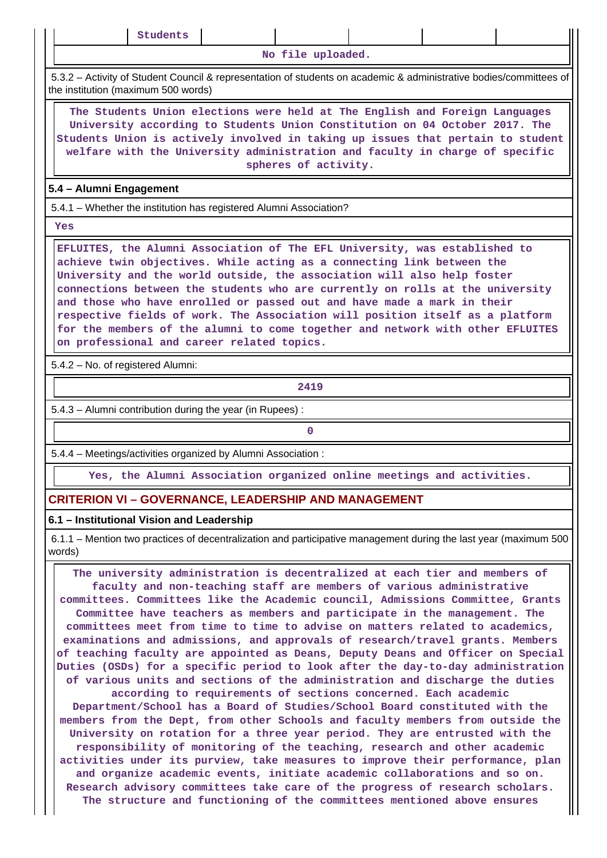| uden |  |
|------|--|
|------|--|

**No file uploaded.**

 5.3.2 – Activity of Student Council & representation of students on academic & administrative bodies/committees of the institution (maximum 500 words)

 **The Students Union elections were held at The English and Foreign Languages University according to Students Union Constitution on 04 October 2017. The Students Union is actively involved in taking up issues that pertain to student welfare with the University administration and faculty in charge of specific spheres of activity.**

#### **5.4 – Alumni Engagement**

5.4.1 – Whether the institution has registered Alumni Association?

 **Yes**

 **EFLUITES, the Alumni Association of The EFL University, was established to achieve twin objectives. While acting as a connecting link between the University and the world outside, the association will also help foster connections between the students who are currently on rolls at the university and those who have enrolled or passed out and have made a mark in their respective fields of work. The Association will position itself as a platform for the members of the alumni to come together and network with other EFLUITES on professional and career related topics.**

5.4.2 – No. of registered Alumni:

**2419**

5.4.3 – Alumni contribution during the year (in Rupees) :

**0**

5.4.4 – Meetings/activities organized by Alumni Association :

**Yes, the Alumni Association organized online meetings and activities.**

## **CRITERION VI – GOVERNANCE, LEADERSHIP AND MANAGEMENT**

#### **6.1 – Institutional Vision and Leadership**

 6.1.1 – Mention two practices of decentralization and participative management during the last year (maximum 500 words)

 **The university administration is decentralized at each tier and members of faculty and non-teaching staff are members of various administrative committees. Committees like the Academic council, Admissions Committee, Grants Committee have teachers as members and participate in the management. The committees meet from time to time to advise on matters related to academics, examinations and admissions, and approvals of research/travel grants. Members of teaching faculty are appointed as Deans, Deputy Deans and Officer on Special Duties (OSDs) for a specific period to look after the day-to-day administration of various units and sections of the administration and discharge the duties according to requirements of sections concerned. Each academic Department/School has a Board of Studies/School Board constituted with the members from the Dept, from other Schools and faculty members from outside the University on rotation for a three year period. They are entrusted with the responsibility of monitoring of the teaching, research and other academic activities under its purview, take measures to improve their performance, plan and organize academic events, initiate academic collaborations and so on. Research advisory committees take care of the progress of research scholars. The structure and functioning of the committees mentioned above ensures**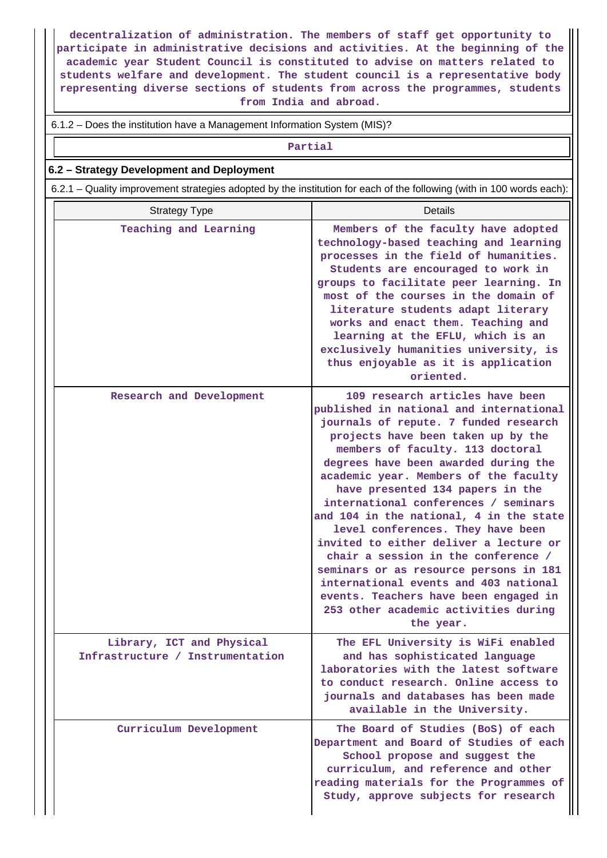**decentralization of administration. The members of staff get opportunity to participate in administrative decisions and activities. At the beginning of the academic year Student Council is constituted to advise on matters related to students welfare and development. The student council is a representative body representing diverse sections of students from across the programmes, students from India and abroad.**

6.1.2 – Does the institution have a Management Information System (MIS)?

**Partial**

#### **6.2 – Strategy Development and Deployment**

6.2.1 – Quality improvement strategies adopted by the institution for each of the following (with in 100 words each):

| <b>Strategy Type</b>                                          | <b>Details</b>                                                                                                                                                                                                                                                                                                                                                                                                                                                                                                                                                                                                                                                                                               |
|---------------------------------------------------------------|--------------------------------------------------------------------------------------------------------------------------------------------------------------------------------------------------------------------------------------------------------------------------------------------------------------------------------------------------------------------------------------------------------------------------------------------------------------------------------------------------------------------------------------------------------------------------------------------------------------------------------------------------------------------------------------------------------------|
| Teaching and Learning                                         | Members of the faculty have adopted<br>technology-based teaching and learning<br>processes in the field of humanities.<br>Students are encouraged to work in<br>groups to facilitate peer learning. In<br>most of the courses in the domain of<br>literature students adapt literary<br>works and enact them. Teaching and<br>learning at the EFLU, which is an<br>exclusively humanities university, is<br>thus enjoyable as it is application<br>oriented.                                                                                                                                                                                                                                                 |
| Research and Development                                      | 109 research articles have been<br>published in national and international<br>journals of repute. 7 funded research<br>projects have been taken up by the<br>members of faculty. 113 doctoral<br>degrees have been awarded during the<br>academic year. Members of the faculty<br>have presented 134 papers in the<br>international conferences / seminars<br>and 104 in the national, 4 in the state<br>level conferences. They have been<br>invited to either deliver a lecture or<br>chair a session in the conference /<br>seminars or as resource persons in 181<br>international events and 403 national<br>events. Teachers have been engaged in<br>253 other academic activities during<br>the year. |
| Library, ICT and Physical<br>Infrastructure / Instrumentation | The EFL University is WiFi enabled<br>and has sophisticated language<br>laboratories with the latest software<br>to conduct research. Online access to<br>journals and databases has been made<br>available in the University.                                                                                                                                                                                                                                                                                                                                                                                                                                                                               |
| Curriculum Development                                        | The Board of Studies (BoS) of each<br>Department and Board of Studies of each<br>School propose and suggest the<br>curriculum, and reference and other<br>reading materials for the Programmes of<br>Study, approve subjects for research                                                                                                                                                                                                                                                                                                                                                                                                                                                                    |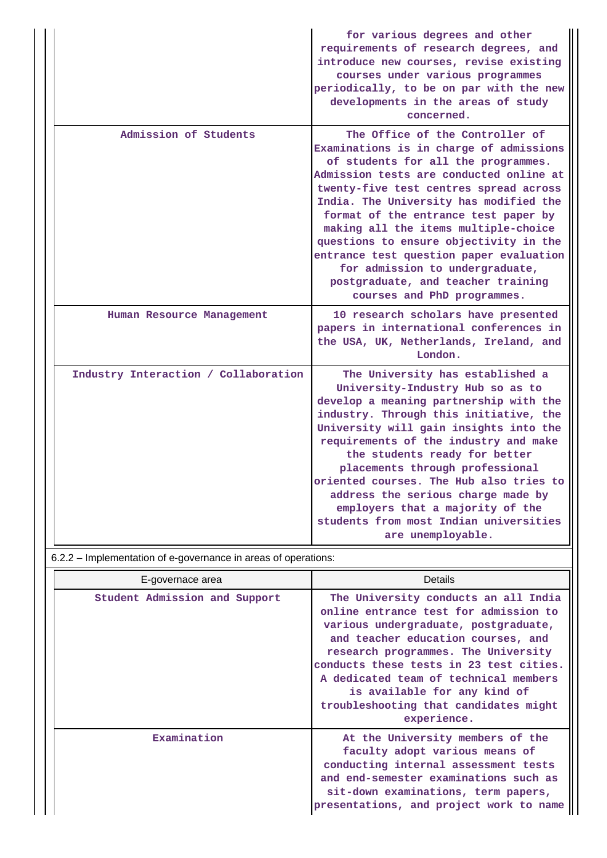|                                      | for various degrees and other<br>requirements of research degrees, and<br>introduce new courses, revise existing<br>courses under various programmes<br>periodically, to be on par with the new<br>developments in the areas of study<br>concerned.                                                                                                                                                                                                                                                                           |
|--------------------------------------|-------------------------------------------------------------------------------------------------------------------------------------------------------------------------------------------------------------------------------------------------------------------------------------------------------------------------------------------------------------------------------------------------------------------------------------------------------------------------------------------------------------------------------|
| Admission of Students                | The Office of the Controller of<br>Examinations is in charge of admissions<br>of students for all the programmes.<br>Admission tests are conducted online at<br>twenty-five test centres spread across<br>India. The University has modified the<br>format of the entrance test paper by<br>making all the items multiple-choice<br>questions to ensure objectivity in the<br>entrance test question paper evaluation<br>for admission to undergraduate,<br>postgraduate, and teacher training<br>courses and PhD programmes. |
| Human Resource Management            | 10 research scholars have presented<br>papers in international conferences in<br>the USA, UK, Netherlands, Ireland, and<br>London.                                                                                                                                                                                                                                                                                                                                                                                            |
| Industry Interaction / Collaboration | The University has established a<br>University-Industry Hub so as to<br>develop a meaning partnership with the<br>industry. Through this initiative, the<br>University will gain insights into the<br>requirements of the industry and make<br>the students ready for better<br>placements through professional<br>oriented courses. The Hub also tries to<br>address the serious charge made by<br>employers that a majority of the<br>students from most Indian universities<br>are unemployable.                           |

6.2.2 – Implementation of e-governance in areas of operations:

| E-governace area              | <b>Details</b>                                                                                                                                                                                                                                                                                                                                                                 |
|-------------------------------|--------------------------------------------------------------------------------------------------------------------------------------------------------------------------------------------------------------------------------------------------------------------------------------------------------------------------------------------------------------------------------|
| Student Admission and Support | The University conducts an all India<br>online entrance test for admission to<br>various undergraduate, postgraduate,<br>and teacher education courses, and<br>research programmes. The University<br>conducts these tests in 23 test cities.<br>A dedicated team of technical members<br>is available for any kind of<br>troubleshooting that candidates might<br>experience. |
| Examination                   | At the University members of the<br>faculty adopt various means of<br>conducting internal assessment tests<br>and end-semester examinations such as<br>sit-down examinations, term papers,<br>presentations, and project work to name                                                                                                                                          |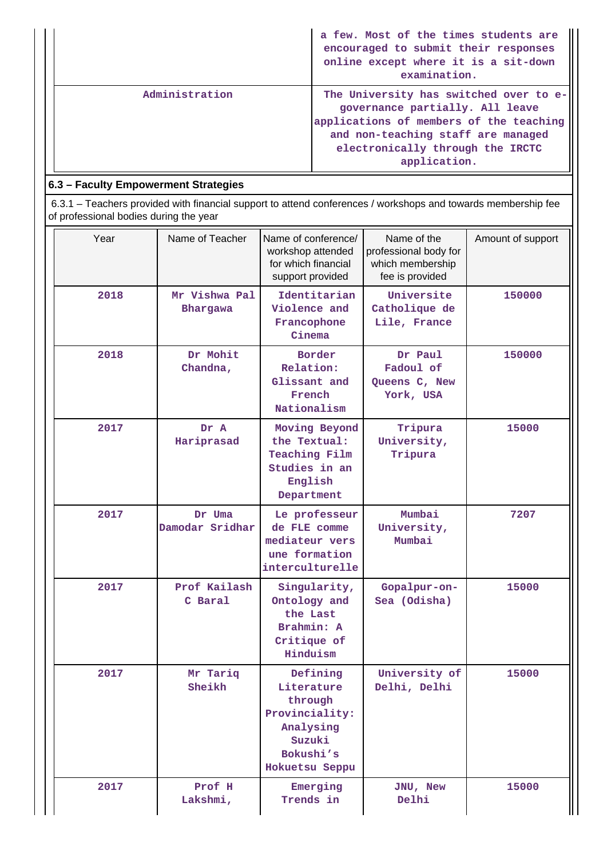|                | a few. Most of the times students are<br>encouraged to submit their responses<br>online except where it is a sit-down<br>examination.                                                                          |
|----------------|----------------------------------------------------------------------------------------------------------------------------------------------------------------------------------------------------------------|
| Administration | The University has switched over to e-<br>governance partially. All leave<br>applications of members of the teaching<br>and non-teaching staff are managed<br>electronically through the IRCTC<br>application. |

## **6.3 – Faculty Empowerment Strategies**

 6.3.1 – Teachers provided with financial support to attend conferences / workshops and towards membership fee of professional bodies during the year

| Year | Name of Teacher           | Name of conference/<br>workshop attended<br>for which financial<br>support provided                       | Name of the<br>professional body for<br>which membership<br>fee is provided | Amount of support |
|------|---------------------------|-----------------------------------------------------------------------------------------------------------|-----------------------------------------------------------------------------|-------------------|
| 2018 | Mr Vishwa Pal<br>Bhargawa | Identitarian<br>Violence and<br>Francophone<br>Cinema                                                     | Universite<br>Catholique de<br>Lile, France                                 | 150000            |
| 2018 | Dr Mohit<br>Chandna,      | Border<br>Relation:<br>Glissant and<br>French<br>Nationalism                                              | Dr Paul<br>Fadoul of<br>Queens C, New<br>York, USA                          | 150000            |
| 2017 | Dr A<br>Hariprasad        | Moving Beyond<br>the Textual:<br><b>Teaching Film</b><br>Studies in an<br>English<br>Department           | Tripura<br>University,<br>Tripura                                           | 15000             |
| 2017 | Dr Uma<br>Damodar Sridhar | Le professeur<br>de FLE comme<br>mediateur vers<br>une formation<br>interculturelle                       | Mumbai<br>University,<br>Mumbai                                             | 7207              |
| 2017 | Prof Kailash<br>C Baral   | Singularity,<br>Ontology and<br>the Last<br>Brahmin: A<br>Critique of<br>Hinduism                         | Gopalpur-on-<br>Sea (Odisha)                                                | 15000             |
| 2017 | Mr Tariq<br>Sheikh        | Defining<br>Literature<br>through<br>Provinciality:<br>Analysing<br>Suzuki<br>Bokushi's<br>Hokuetsu Seppu | University of<br>Delhi, Delhi                                               | 15000             |
| 2017 | Prof H<br>Lakshmi,        | Emerging<br>Trends in                                                                                     | JNU, New<br>Delhi                                                           | 15000             |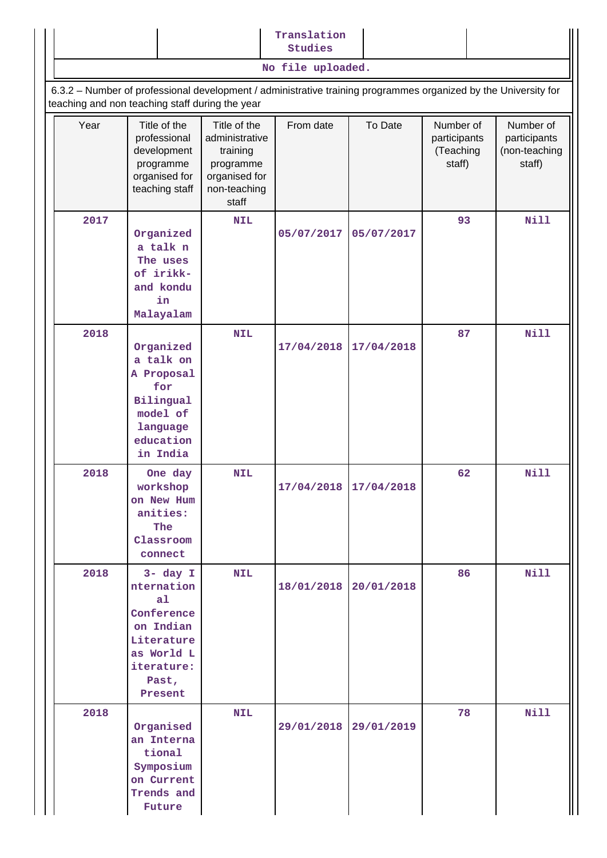|      |                                                                                                                                                                    |                                                                                                   | <b>Studies</b><br>No file uploaded. |            |                                                  |                                                      |
|------|--------------------------------------------------------------------------------------------------------------------------------------------------------------------|---------------------------------------------------------------------------------------------------|-------------------------------------|------------|--------------------------------------------------|------------------------------------------------------|
|      |                                                                                                                                                                    |                                                                                                   |                                     |            |                                                  |                                                      |
|      | 6.3.2 - Number of professional development / administrative training programmes organized by the University for<br>teaching and non teaching staff during the year |                                                                                                   |                                     |            |                                                  |                                                      |
| Year | Title of the<br>professional<br>development<br>programme<br>organised for<br>teaching staff                                                                        | Title of the<br>administrative<br>training<br>programme<br>organised for<br>non-teaching<br>staff | From date                           | To Date    | Number of<br>participants<br>(Teaching<br>staff) | Number of<br>participants<br>(non-teaching<br>staff) |
| 2017 |                                                                                                                                                                    | <b>NIL</b>                                                                                        |                                     |            | 93                                               | <b>Nill</b>                                          |
|      | Organized<br>a talk n<br>The uses<br>of irikk-<br>and kondu<br>in<br>Malayalam                                                                                     |                                                                                                   | 05/07/2017                          | 05/07/2017 |                                                  |                                                      |
| 2018 |                                                                                                                                                                    | <b>NIL</b>                                                                                        |                                     |            | 87                                               | <b>Nill</b>                                          |
|      | Organized<br>a talk on<br>A Proposal<br>for<br>Bilingual<br>model of<br>language<br>education<br>in India                                                          |                                                                                                   | 17/04/2018                          | 17/04/2018 |                                                  |                                                      |
| 2018 | One day<br>workshop<br>on New Hum<br>anities:<br>The<br>Classroom<br>connect                                                                                       | <b>NIL</b>                                                                                        | 17/04/2018 17/04/2018               |            | 62                                               | <b>Nill</b>                                          |
| 2018 | $3 - day I$<br>nternation<br>a1<br>Conference<br>on Indian<br>Literature<br>as World L<br>iterature:<br>Past,<br>Present                                           | <b>NIL</b>                                                                                        | 18/01/2018                          | 20/01/2018 | 86                                               | <b>Nill</b>                                          |
| 2018 | Organised<br>an Interna<br>tional<br>Symposium<br>on Current<br>Trends and                                                                                         | <b>NIL</b>                                                                                        | 29/01/2018                          | 29/01/2019 | 78                                               | <b>Nill</b>                                          |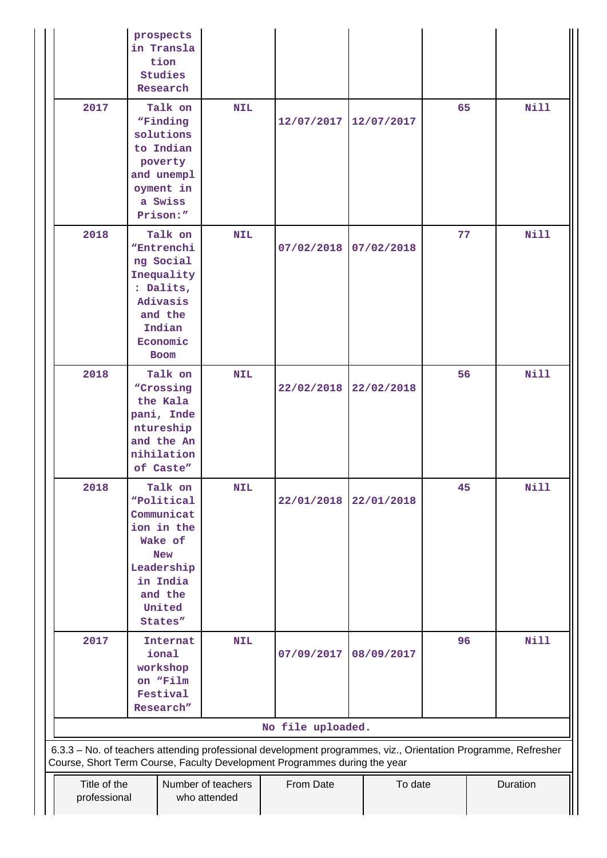|                              | prospects<br>in Transla<br>tion<br>Studies<br>Research                                                                               |                                    |                                                                                                                                    |            |    |             |
|------------------------------|--------------------------------------------------------------------------------------------------------------------------------------|------------------------------------|------------------------------------------------------------------------------------------------------------------------------------|------------|----|-------------|
| 2017                         | Talk on<br>"Finding<br>solutions<br>to Indian<br>poverty<br>and unempl<br>oyment in<br>a Swiss<br>Prison:"                           | <b>NIL</b>                         | 12/07/2017                                                                                                                         | 12/07/2017 | 65 | <b>Nill</b> |
| 2018                         | Talk on<br>"Entrenchi<br>ng Social<br>Inequality<br>: Dalits,<br>Adivasis<br>and the<br>Indian<br>Economic<br><b>Boom</b>            | <b>NIL</b>                         | 07/02/2018                                                                                                                         | 07/02/2018 | 77 | <b>Nill</b> |
| 2018                         | Talk on<br>"Crossing<br>the Kala<br>pani, Inde<br>ntureship<br>and the An<br>nihilation<br>of Caste"                                 | <b>NIL</b>                         | 22/02/2018                                                                                                                         | 22/02/2018 | 56 | Nill        |
| 2018                         | Talk on<br>"Political<br>Communicat<br>ion in the<br>Wake of<br><b>New</b><br>Leadership<br>in India<br>and the<br>United<br>States" | <b>NIL</b>                         | 22/01/2018                                                                                                                         | 22/01/2018 | 45 | <b>Nill</b> |
| 2017                         | Internat<br>ional<br>workshop<br>on "Film<br>Festival<br>Research"                                                                   | <b>NIL</b>                         | 07/09/2017                                                                                                                         | 08/09/2017 | 96 | <b>Nill</b> |
|                              |                                                                                                                                      |                                    | No file uploaded.<br>6.3.3 - No. of teachers attending professional development programmes, viz., Orientation Programme, Refresher |            |    |             |
| Title of the<br>professional |                                                                                                                                      | Number of teachers<br>who attended | Course, Short Term Course, Faculty Development Programmes during the year<br>From Date                                             | To date    |    | Duration    |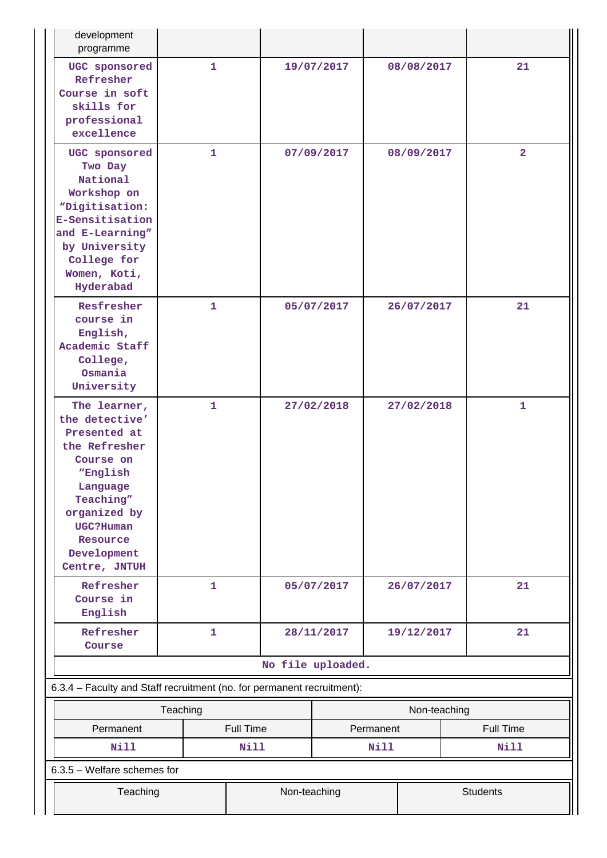| development<br>programme                                                                                                                                                                   |              |                  |                   |           |                 |                  |  |
|--------------------------------------------------------------------------------------------------------------------------------------------------------------------------------------------|--------------|------------------|-------------------|-----------|-----------------|------------------|--|
| UGC sponsored<br>Refresher<br>Course in soft<br>skills for<br>professional<br>excellence                                                                                                   | $\mathbf{1}$ |                  | 19/07/2017        |           | 08/08/2017      | 21               |  |
| UGC sponsored<br>Two Day<br>National<br>Workshop on<br>"Digitisation:<br>E-Sensitisation<br>and E-Learning"<br>by University<br>College for<br>Women, Koti,<br>Hyderabad                   | $\mathbf{1}$ |                  | 07/09/2017        |           | 08/09/2017      | $\overline{2}$   |  |
| Resfresher<br>course in<br>English,<br>Academic Staff<br>College,<br>Osmania<br>University                                                                                                 | 1            |                  | 05/07/2017        |           | 26/07/2017      | 21               |  |
| The learner,<br>the detective'<br>Presented at<br>the Refresher<br>Course on<br>"English<br>Language<br>Teaching"<br>organized by<br>UGC?Human<br>Resource<br>Development<br>Centre, JNTUH | 1            |                  | 27/02/2018        |           | 27/02/2018      | $\mathbf{1}$     |  |
| Refresher<br>Course in<br>English                                                                                                                                                          | $\mathbf{1}$ |                  | 05/07/2017        |           | 26/07/2017      | 21               |  |
| Refresher<br>Course                                                                                                                                                                        | 1            |                  | 28/11/2017        |           | 19/12/2017      | 21               |  |
|                                                                                                                                                                                            |              |                  | No file uploaded. |           |                 |                  |  |
| 6.3.4 - Faculty and Staff recruitment (no. for permanent recruitment):                                                                                                                     |              |                  |                   |           |                 |                  |  |
|                                                                                                                                                                                            | Teaching     |                  |                   |           | Non-teaching    |                  |  |
| Permanent                                                                                                                                                                                  |              | <b>Full Time</b> |                   | Permanent |                 | <b>Full Time</b> |  |
| <b>Nill</b>                                                                                                                                                                                |              | Nill             |                   | Nill      |                 | Nill             |  |
| 6.3.5 - Welfare schemes for                                                                                                                                                                |              |                  |                   |           |                 |                  |  |
| Teaching                                                                                                                                                                                   |              | Non-teaching     |                   |           | <b>Students</b> |                  |  |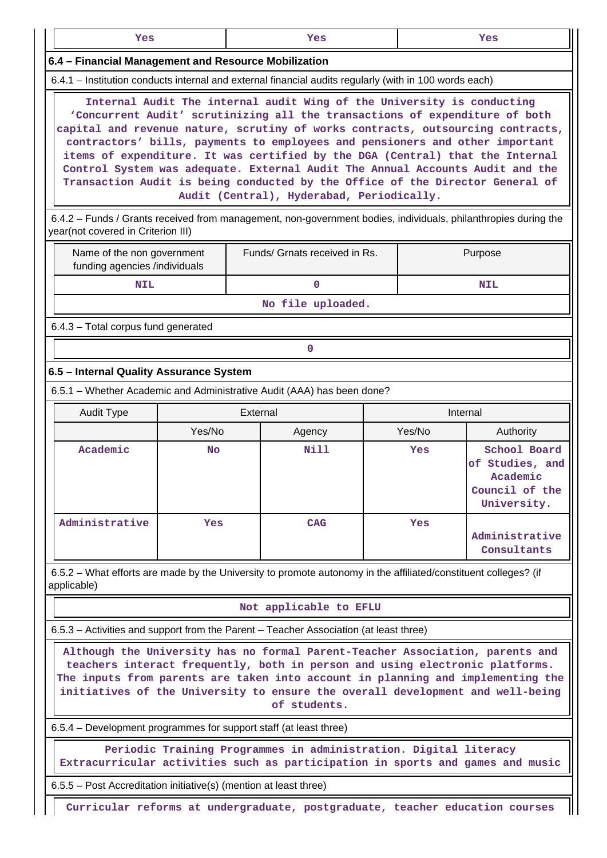| __ | __ | ____ |
|----|----|------|
|    |    |      |

#### **6.4 – Financial Management and Resource Mobilization**

6.4.1 – Institution conducts internal and external financial audits regularly (with in 100 words each)

 **Internal Audit The internal audit Wing of the University is conducting 'Concurrent Audit' scrutinizing all the transactions of expenditure of both capital and revenue nature, scrutiny of works contracts, outsourcing contracts, contractors' bills, payments to employees and pensioners and other important items of expenditure. It was certified by the DGA (Central) that the Internal Control System was adequate. External Audit The Annual Accounts Audit and the Transaction Audit is being conducted by the Office of the Director General of Audit (Central), Hyderabad, Periodically.**

 6.4.2 – Funds / Grants received from management, non-government bodies, individuals, philanthropies during the year(not covered in Criterion III)

| Name of the non government<br>funding agencies /individuals | Funds/ Grnats received in Rs. | Purpose    |
|-------------------------------------------------------------|-------------------------------|------------|
| NIL                                                         |                               | <b>NIL</b> |
|                                                             | - - -<br>$ -$                 |            |

**No file uploaded.**

6.4.3 – Total corpus fund generated

## **0**

#### **6.5 – Internal Quality Assurance System**

6.5.1 – Whether Academic and Administrative Audit (AAA) has been done?

| <b>Audit Type</b> | External   |             |        | Internal                                                                     |
|-------------------|------------|-------------|--------|------------------------------------------------------------------------------|
|                   | Yes/No     | Agency      | Yes/No | Authority                                                                    |
| Academic          | No.        | <b>Nill</b> | Yes    | School Board<br>of Studies, and<br>Academic<br>Council of the<br>University. |
| Administrative    | <b>Yes</b> | <b>CAG</b>  | Yes    | Administrative<br>Consultants                                                |

 6.5.2 – What efforts are made by the University to promote autonomy in the affiliated/constituent colleges? (if applicable)

#### **Not applicable to EFLU**

6.5.3 – Activities and support from the Parent – Teacher Association (at least three)

 **Although the University has no formal Parent-Teacher Association, parents and teachers interact frequently, both in person and using electronic platforms. The inputs from parents are taken into account in planning and implementing the initiatives of the University to ensure the overall development and well-being of students.**

6.5.4 – Development programmes for support staff (at least three)

 **Periodic Training Programmes in administration. Digital literacy Extracurricular activities such as participation in sports and games and music**

6.5.5 – Post Accreditation initiative(s) (mention at least three)

**Curricular reforms at undergraduate, postgraduate, teacher education courses**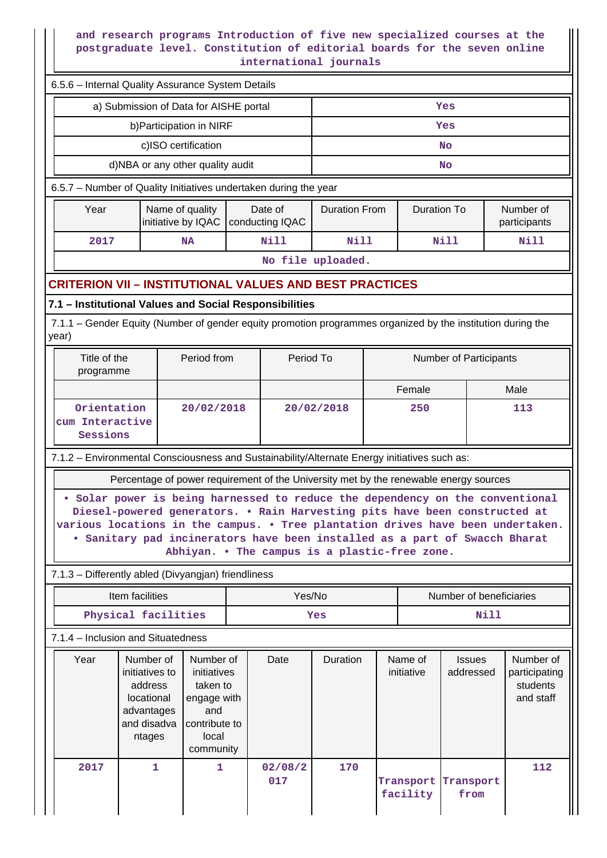### **and research programs Introduction of five new specialized courses at the postgraduate level. Constitution of editorial boards for the seven online international journals**

|                                            | 6.5.6 - Internal Quality Assurance System Details                                                                                                                                                                                                                                                                          |                                                                             |                                               |        |                                            |  |                        |                            |                                                     |
|--------------------------------------------|----------------------------------------------------------------------------------------------------------------------------------------------------------------------------------------------------------------------------------------------------------------------------------------------------------------------------|-----------------------------------------------------------------------------|-----------------------------------------------|--------|--------------------------------------------|--|------------------------|----------------------------|-----------------------------------------------------|
|                                            | a) Submission of Data for AISHE portal                                                                                                                                                                                                                                                                                     |                                                                             |                                               |        |                                            |  |                        | Yes                        |                                                     |
|                                            |                                                                                                                                                                                                                                                                                                                            | b) Participation in NIRF                                                    |                                               |        | Yes                                        |  |                        |                            |                                                     |
|                                            |                                                                                                                                                                                                                                                                                                                            | c)ISO certification                                                         |                                               |        | <b>No</b>                                  |  |                        |                            |                                                     |
|                                            | d)NBA or any other quality audit                                                                                                                                                                                                                                                                                           |                                                                             |                                               |        |                                            |  |                        | <b>No</b>                  |                                                     |
|                                            | 6.5.7 - Number of Quality Initiatives undertaken during the year                                                                                                                                                                                                                                                           |                                                                             |                                               |        |                                            |  |                        |                            |                                                     |
| Year                                       |                                                                                                                                                                                                                                                                                                                            | Name of quality<br>initiative by IQAC                                       | Date of<br>conducting IQAC                    |        | <b>Duration From</b><br><b>Duration To</b> |  |                        | Number of<br>participants  |                                                     |
| 2017                                       |                                                                                                                                                                                                                                                                                                                            | <b>NA</b>                                                                   | <b>Nill</b>                                   |        | <b>Nill</b>                                |  |                        | <b>Nill</b>                | Nill                                                |
|                                            |                                                                                                                                                                                                                                                                                                                            |                                                                             |                                               |        | No file uploaded.                          |  |                        |                            |                                                     |
|                                            | <b>CRITERION VII - INSTITUTIONAL VALUES AND BEST PRACTICES</b>                                                                                                                                                                                                                                                             |                                                                             |                                               |        |                                            |  |                        |                            |                                                     |
|                                            | 7.1 - Institutional Values and Social Responsibilities                                                                                                                                                                                                                                                                     |                                                                             |                                               |        |                                            |  |                        |                            |                                                     |
|                                            | 7.1.1 – Gender Equity (Number of gender equity promotion programmes organized by the institution during the                                                                                                                                                                                                                |                                                                             |                                               |        |                                            |  |                        |                            |                                                     |
| year)                                      |                                                                                                                                                                                                                                                                                                                            |                                                                             |                                               |        |                                            |  |                        |                            |                                                     |
| Title of the<br>Period from<br>programme   |                                                                                                                                                                                                                                                                                                                            |                                                                             |                                               |        | Period To                                  |  | Number of Participants |                            |                                                     |
|                                            |                                                                                                                                                                                                                                                                                                                            | Female                                                                      |                                               |        |                                            |  | Male                   |                            |                                                     |
| Orientation<br>cum Interactive<br>Sessions |                                                                                                                                                                                                                                                                                                                            | 20/02/2018                                                                  |                                               |        | 20/02/2018                                 |  | 250                    |                            | 113                                                 |
|                                            | 7.1.2 - Environmental Consciousness and Sustainability/Alternate Energy initiatives such as:                                                                                                                                                                                                                               |                                                                             |                                               |        |                                            |  |                        |                            |                                                     |
|                                            | Percentage of power requirement of the University met by the renewable energy sources                                                                                                                                                                                                                                      |                                                                             |                                               |        |                                            |  |                        |                            |                                                     |
|                                            | Solar power is being harnessed to reduce the dependency on the conventional<br>Diesel-powered generators. . Rain Harvesting pits have been constructed at<br>various locations in the campus. . Tree plantation drives have been undertaken.<br>. Sanitary pad incinerators have been installed as a part of Swacch Bharat |                                                                             | Abhiyan. . The campus is a plastic-free zone. |        |                                            |  |                        |                            |                                                     |
|                                            | 7.1.3 - Differently abled (Divyangian) friendliness                                                                                                                                                                                                                                                                        |                                                                             |                                               |        |                                            |  |                        |                            |                                                     |
|                                            | Item facilities                                                                                                                                                                                                                                                                                                            |                                                                             |                                               | Yes/No |                                            |  |                        | Number of beneficiaries    |                                                     |
|                                            | Physical facilities                                                                                                                                                                                                                                                                                                        |                                                                             |                                               |        | Nill<br>Yes                                |  |                        |                            |                                                     |
|                                            | 7.1.4 - Inclusion and Situatedness                                                                                                                                                                                                                                                                                         |                                                                             |                                               |        |                                            |  |                        |                            |                                                     |
| Year                                       | Number of<br>initiatives to<br>address<br>locational<br>advantages                                                                                                                                                                                                                                                         | Number of<br>initiatives<br>taken to<br>engage with<br>and<br>contribute to | Date                                          |        | Duration                                   |  | Name of<br>initiative  | <b>Issues</b><br>addressed | Number of<br>participating<br>students<br>and staff |
|                                            | and disadva<br>ntages                                                                                                                                                                                                                                                                                                      | local<br>community                                                          |                                               |        |                                            |  |                        |                            |                                                     |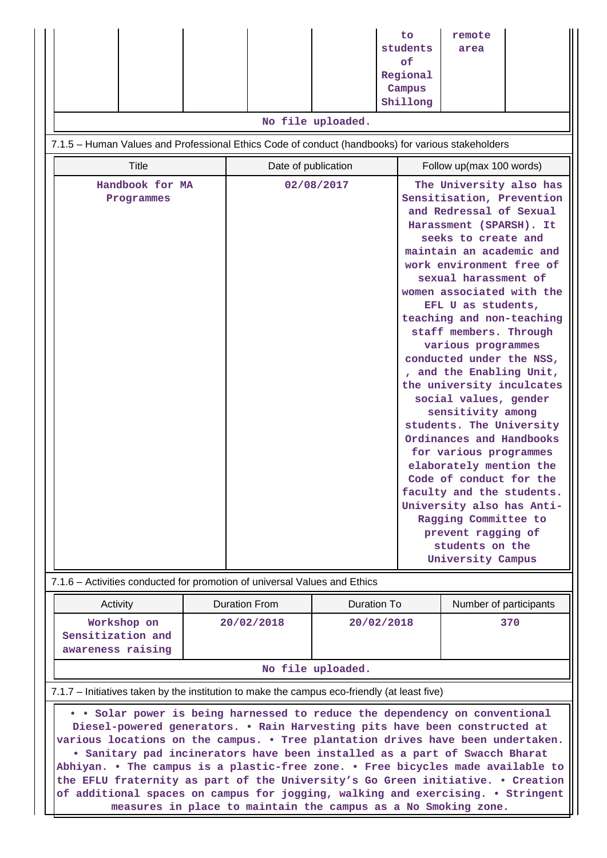|                                                                                                   |                                     | No file uploaded. | to<br>students<br>of<br>Regional<br>Campus<br>Shillong                                                                                                                                                                                                                                                                                                                                                                                                                                                                                                                                                                                                                                                                                                                       | remote<br>area         |     |
|---------------------------------------------------------------------------------------------------|-------------------------------------|-------------------|------------------------------------------------------------------------------------------------------------------------------------------------------------------------------------------------------------------------------------------------------------------------------------------------------------------------------------------------------------------------------------------------------------------------------------------------------------------------------------------------------------------------------------------------------------------------------------------------------------------------------------------------------------------------------------------------------------------------------------------------------------------------------|------------------------|-----|
| 7.1.5 - Human Values and Professional Ethics Code of conduct (handbooks) for various stakeholders |                                     |                   |                                                                                                                                                                                                                                                                                                                                                                                                                                                                                                                                                                                                                                                                                                                                                                              |                        |     |
| <b>Title</b>                                                                                      | Date of publication                 |                   | Follow up(max 100 words)                                                                                                                                                                                                                                                                                                                                                                                                                                                                                                                                                                                                                                                                                                                                                     |                        |     |
| Handbook for MA<br>02/08/2017<br>Programmes                                                       |                                     |                   | The University also has<br>Sensitisation, Prevention<br>and Redressal of Sexual<br>Harassment (SPARSH). It<br>seeks to create and<br>maintain an academic and<br>work environment free of<br>sexual harassment of<br>women associated with the<br>EFL U as students,<br>teaching and non-teaching<br>staff members. Through<br>various programmes<br>conducted under the NSS,<br>, and the Enabling Unit,<br>the university inculcates<br>social values, gender<br>sensitivity among<br>students. The University<br>Ordinances and Handbooks<br>for various programmes<br>elaborately mention the<br>Code of conduct for the<br>faculty and the students.<br>University also has Anti-<br>Ragging Committee to<br>prevent ragging of<br>students on the<br>University Campus |                        |     |
| 7.1.6 - Activities conducted for promotion of universal Values and Ethics                         |                                     |                   |                                                                                                                                                                                                                                                                                                                                                                                                                                                                                                                                                                                                                                                                                                                                                                              |                        |     |
| Activity                                                                                          | <b>Duration From</b><br>Duration To |                   |                                                                                                                                                                                                                                                                                                                                                                                                                                                                                                                                                                                                                                                                                                                                                                              | Number of participants |     |
| Workshop on<br>Sensitization and<br>awareness raising                                             | 20/02/2018                          | 20/02/2018        |                                                                                                                                                                                                                                                                                                                                                                                                                                                                                                                                                                                                                                                                                                                                                                              |                        | 370 |
| No file uploaded.                                                                                 |                                     |                   |                                                                                                                                                                                                                                                                                                                                                                                                                                                                                                                                                                                                                                                                                                                                                                              |                        |     |
| 7.1.7 - Initiatives taken by the institution to make the campus eco-friendly (at least five)      |                                     |                   |                                                                                                                                                                                                                                                                                                                                                                                                                                                                                                                                                                                                                                                                                                                                                                              |                        |     |

 **• • Solar power is being harnessed to reduce the dependency on conventional Diesel-powered generators. • Rain Harvesting pits have been constructed at various locations on the campus. • Tree plantation drives have been undertaken. • Sanitary pad incinerators have been installed as a part of Swacch Bharat Abhiyan. • The campus is a plastic-free zone. • Free bicycles made available to the EFLU fraternity as part of the University's Go Green initiative. • Creation of additional spaces on campus for jogging, walking and exercising. • Stringent measures in place to maintain the campus as a No Smoking zone.**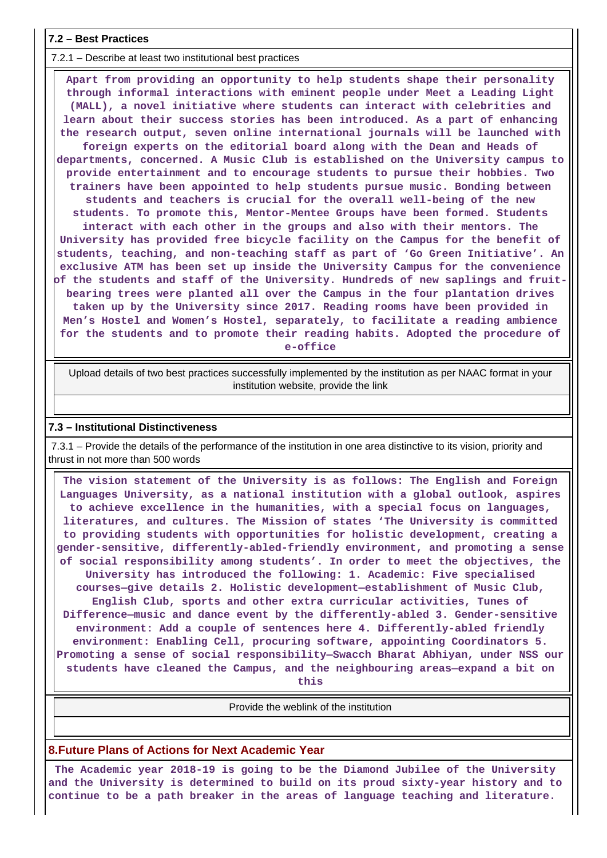#### **7.2 – Best Practices**

7.2.1 – Describe at least two institutional best practices

 **Apart from providing an opportunity to help students shape their personality through informal interactions with eminent people under Meet a Leading Light (MALL), a novel initiative where students can interact with celebrities and learn about their success stories has been introduced. As a part of enhancing the research output, seven online international journals will be launched with foreign experts on the editorial board along with the Dean and Heads of departments, concerned. A Music Club is established on the University campus to provide entertainment and to encourage students to pursue their hobbies. Two trainers have been appointed to help students pursue music. Bonding between students and teachers is crucial for the overall well-being of the new students. To promote this, Mentor-Mentee Groups have been formed. Students interact with each other in the groups and also with their mentors. The University has provided free bicycle facility on the Campus for the benefit of students, teaching, and non-teaching staff as part of 'Go Green Initiative'. An exclusive ATM has been set up inside the University Campus for the convenience of the students and staff of the University. Hundreds of new saplings and fruitbearing trees were planted all over the Campus in the four plantation drives taken up by the University since 2017. Reading rooms have been provided in Men's Hostel and Women's Hostel, separately, to facilitate a reading ambience for the students and to promote their reading habits. Adopted the procedure of e-office**

 Upload details of two best practices successfully implemented by the institution as per NAAC format in your institution website, provide the link

#### **7.3 – Institutional Distinctiveness**

 7.3.1 – Provide the details of the performance of the institution in one area distinctive to its vision, priority and thrust in not more than 500 words

 **The vision statement of the University is as follows: The English and Foreign Languages University, as a national institution with a global outlook, aspires to achieve excellence in the humanities, with a special focus on languages, literatures, and cultures. The Mission of states 'The University is committed to providing students with opportunities for holistic development, creating a gender-sensitive, differently-abled-friendly environment, and promoting a sense of social responsibility among students'. In order to meet the objectives, the University has introduced the following: 1. Academic: Five specialised courses—give details 2. Holistic development—establishment of Music Club, English Club, sports and other extra curricular activities, Tunes of Difference—music and dance event by the differently-abled 3. Gender-sensitive environment: Add a couple of sentences here 4. Differently-abled friendly environment: Enabling Cell, procuring software, appointing Coordinators 5. Promoting a sense of social responsibility—Swacch Bharat Abhiyan, under NSS our students have cleaned the Campus, and the neighbouring areas—expand a bit on this**

Provide the weblink of the institution

**8.Future Plans of Actions for Next Academic Year**

 **The Academic year 2018-19 is going to be the Diamond Jubilee of the University and the University is determined to build on its proud sixty-year history and to continue to be a path breaker in the areas of language teaching and literature.**